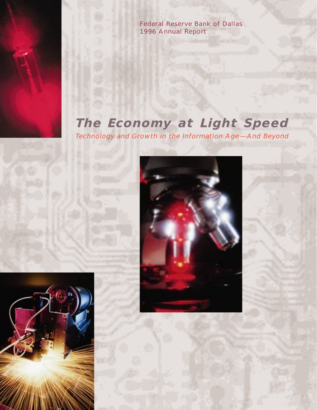Federal Reserve Bank of Dallas 1996 Annual Report

## *The Economy at Light Speed The Economy at Light Speed*

Technology and Growth in the Information Age—And Beyond



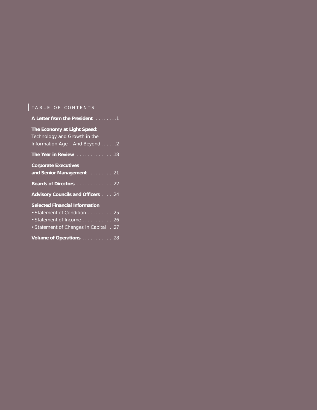## | <sup>T</sup> ABLE OF CONTENTS

**A Letter from the President** . . . . . . . .1 **The Economy at Light Speed:** Technology and Growth in the Information Age—And Beyond . . . . . .2 **The Year in Review** . . . . . . . . . . . . . .18 **Corporate Executives and Senior Management** . . . . . . . . .21 **Boards of Directors** . . . . . . . . . . . . . .22 **Advisory Councils and Officers** . . . . .24 **Selected Financial Information** • Statement of Condition . . . . . . . . . .25 • Statement of Income . . . . . . . . . . . .26 • Statement of Changes in Capital . .27

**Volume of Operations** . . . . . . . . . . . .28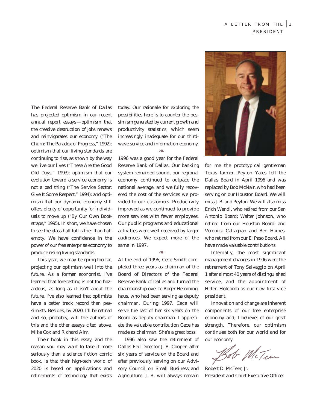The Federal Reserve Bank of Dallas has projected optimism in our recent annual report essays—optimism that the creative destruction of jobs renews and reinvigorates our economy ("The Churn: The Paradox of Progress," 1992); optimism that our living standards are continuing to rise, as shown by the way we live our lives ("These Are the Good Old Days," 1993); optimism that our evolution toward a service economy is not a bad thing ("The Service Sector: Give It Some Respect," 1994); and optimism that our dynamic economy still offers plenty of opportunity for individuals to move up ("By Our Own Bootstraps," 1995). In short, we have chosen to see the glass half full rather than half empty. We have confidence in the power of our free enterprise economy to produce rising living standards.

This year, we may be going too far, projecting our optimism well into the future. As a former economist, I've learned that forecasting is not too hazardous, as long as it isn't about the future. I've also learned that optimists have a better track record than pessimists. Besides, by 2020, I'll be retired and so, probably, will the authors of this and the other essays cited above, Mike Cox and Richard Alm.

Their hook in this essay, and the reason you may want to take it more seriously than a science fiction comic book, is that their high-tech world of 2020 is based on applications and refinements of technology that exists

today. Our rationale for exploring the possibilities here is to counter the pessimism generated by current growth and productivity statistics, which seem increasingly inadequate for our thirdwave service and information economy. ❧

1996 was a good year for the Federal Reserve Bank of Dallas. Our banking system remained sound, our regional economy continued to outpace the national average, and we fully recovered the cost of the services we provided to our customers. Productivity improved as we continued to provide more services with fewer employees. Our public programs and educational activities were well received by larger audiences. We expect more of the same in 1997.

❧

At the end of 1996, Cece Smith completed three years as chairman of the Board of Directors of the Federal Reserve Bank of Dallas and turned the chairmanship over to Roger Hemminghaus, who had been serving as deputy chairman. During 1997, Cece will serve the last of her six years on the Board as deputy chairman. I appreciate the valuable contribution Cece has made as chairman. She's a great boss.

1996 also saw the retirement of Dallas Fed Director J. B. Cooper, after six years of service on the Board and after previously serving on our Advisory Council on Small Business and Agriculture. J. B. will always remain



for me the prototypical gentleman Texas farmer. Peyton Yates left the Dallas Board in April 1996 and was replaced by Bob McNair, who had been serving on our Houston Board. We will miss J. B. and Peyton. We will also miss Erich Wendl, who retired from our San Antonio Board; Walter Johnson, who retired from our Houston Board; and Veronica Callaghan and Ben Haines, who retired from our El Paso Board. All have made valuable contributions.

Internally, the most significant management changes in 1996 were the retirement of Tony Salvaggio on April 1 after almost 40 years of distinguished service, and the appointment of Helen Holcomb as our new first vice president.

Innovation and change are inherent components of our free enterprise economy and, I believe, of our great strength. Therefore, our optimism continues both for our world and for our economy.

Bob McTen

Robert D. McTeer, Jr. President and Chief Executive Officer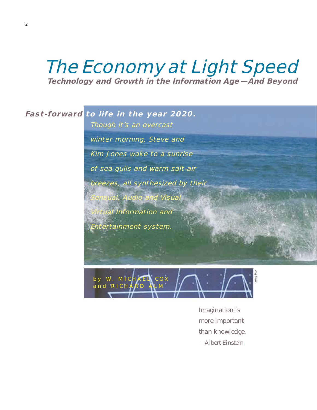# The Economyat Light Speed

*Technology and Growth in the Information Age—And Beyond*

*Fast-forward to life in the year 2020.*

Though it's an overcast

winter morning, Steve and Kim Jones wake to a sunrise of sea gulls and warm salt-air breezes, all synthesized by their ual, Audio and Visual ual Information and Entertainment system.



*Imagination is more important than knowledge. —*Albert Einstein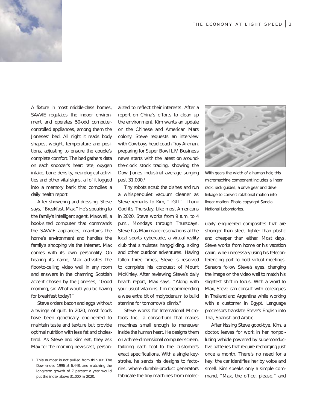

A fixture in most middle-class homes, SAVVIE regulates the indoor environment and operates 50-odd computercontrolled appliances, among them the Joneses' bed. All night it reads body shapes, weight, temperature and positions, adjusting to ensure the couple's complete comfort. The bed gathers data on each snoozer's heart rate, oxygen intake, bone density, neurological activities and other vital signs, all of it logged into a memory bank that compiles a daily health report.

After showering and dressing, Steve says, "Breakfast, Max." He's speaking to the family's intelligent agent, Maxwell, a book-sized computer that commands the SAVVIE appliances, maintains the home's environment and handles the family's shopping via the Internet. Max comes with its own personality. On hearing its name, Max activates the floor-to-ceiling video wall in any room and answers in the charming Scottish accent chosen by the Joneses, "Good morning, sir. What would you be having for breakfast today?"

Steve orders bacon and eggs without a twinge of guilt. In 2020, most foods have been genetically engineered to maintain taste and texture but provide optimal nutrition with less fat and cholesterol. As Steve and Kim eat, they ask Max for the morning newscast, person-

alized to reflect their interests. After a report on China's efforts to clean up the environment, Kim wants an update on the Chinese and American Mars colony. Steve requests an interview with Cowboys head coach Troy Aikman, preparing for Super Bowl LIV. Business news starts with the latest on aroundthe-clock stock trading, showing the Dow Jones industrial average surging past 31,000.<sup>1</sup>

Tiny robots scrub the dishes and run a whisper-quiet vacuum cleaner as Steve remarks to Kim, "TGIT"—Thank God it's Thursday. Like most Americans in 2020, Steve works from 9 a.m. to 4 p.m., Mondays through Thursdays. Steve has Max make reservations at the local sports cybercade, a virtual reality club that simulates hang-gliding, skiing and other outdoor adventures. Having fallen three times, Steve is resolved to complete his conquest of Mount McKinley. After reviewing Steve's daily health report, Max says, "Along with your usual vitamins, I'm recommending a wee extra bit of molybdenum to build stamina for tomorrow's climb."

Steve works for International Microtools Inc., a consortium that makes machines small enough to maneuver inside the human heart. He designs them on a three-dimensional computer screen, tailoring each tool to the customer's exact specifications. With a single keystroke, he sends his designs to factories, where durable-product generators fabricate the tiny machines from molec-



With gears the width of a human hair, this micromachine component includes a linear rack, rack guides, a drive gear and drive linkage to convert rotational motion into linear motion. Photo copyright Sandia National Laboratories.

ularly engineered composites that are stronger than steel, lighter than plastic and cheaper than either. Most days, Steve works from home or his vacation cabin, when necessary using his teleconferencing port to hold virtual meetings. Sensors follow Steve's eyes, changing the image on the video wall to match his slightest shift in focus. With a word to Max, Steve can consult with colleagues in Thailand and Argentina while working with a customer in Egypt. Language processors translate Steve's English into Thai, Spanish and Arabic.

After kissing Steve good-bye, Kim, a doctor, leaves for work in her nonpolluting vehicle powered by superconductive batteries that require recharging just once a month. There's no need for a key: the car identifies her by voice and smell. Kim speaks only a simple command, "Max, the office, please," and

<sup>1</sup> This number is not pulled from thin air. The Dow ended 1996 at 6,448, and matching the long-term growth of 7 percent a year would put the index above 31,000 in 2020.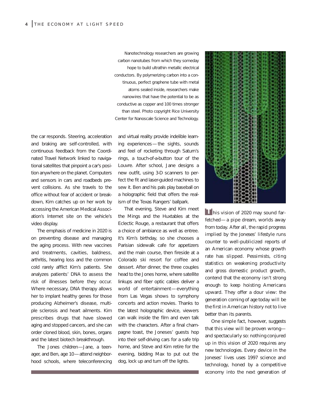Nanotechnology researchers are growing carbon nanotubes from which they someday hope to build ultrathin metallic electrical conductors. By polymerizing carbon into a continuous, perfect graphene tube with metal atoms sealed inside, researchers make nanowires that have the potential to be as conductive as copper and 100 times stronger than steel. Photo copyright Rice University Center for Nanoscale Science and Technology.

the car responds. Steering, acceleration and braking are self-controlled, with continuous feedback from the Coordinated Travel Network linked to navigational satellites that pinpoint a car's position anywhere on the planet. Computers and sensors in cars and roadbeds prevent collisions. As she travels to the office without fear of accident or breakdown, Kim catches up on her work by accessing the American Medical Association's Internet site on the vehicle's video display.

The emphasis of medicine in 2020 is on preventing disease and managing the aging process. With new vaccines and treatments, cavities, baldness, arthritis, hearing loss and the common cold rarely afflict Kim's patients. She analyzes patients' DNA to assess the risk of illnesses before they occur. Where necessary, DNA therapy allows her to implant healthy genes for those producing Alzheimer's disease, multiple sclerosis and heart ailments. Kim prescribes drugs that have slowed aging and stopped cancers, and she can order cloned blood, skin, bones, organs and the latest biotech breakthrough.

The Jones children—Jane, a teenager, and Ben, age 10—attend neighborhood schools, where teleconferencing and virtual reality provide indelible learning experiences—the sights, sounds and feel of rocketing through Saturn's rings, a touch-of-a-button tour of the Louvre. After school, Jane designs a new outfit, using 3-D scanners to perfect the fit and laser-guided machines to sew it. Ben and his pals play baseball on a holographic field that offers the realism of the Texas Rangers' ballpark.

That evening, Steve and Kim meet the Mings and the Huxtables at the Eclectic Rouge, a restaurant that offers a choice of ambiance as well as entree. It's Kim's birthday, so she chooses a Parisian sidewalk cafe for appetizers and the main course, then fireside at a Colorado ski resort for coffee and dessert. After dinner, the three couples head to the Jones home, where satellite linkups and fiber optic cables deliver a world of entertainment—everything from Las Vegas shows to symphony concerts and action movies. Thanks to the latest holographic device, viewers can walk inside the film and even talk with the characters. After a final champagne toast, the Joneses' guests hop into their self-driving cars for a safe trip home, and Steve and Kim retire for the evening, bidding Max to put out the dog, lock up and turn off the lights.



*T* his vision of 2020 may sound farfetched— a pipe dream, worlds away from today. After all, the rapid progress implied by the Joneses' lifestyle runs counter to well-publicized reports of an American economy whose growth rate has slipped. Pessimists, citing statistics on weakening productivity and gross domestic product growth, contend that the economy isn't strong enough to keep hoisting Americans upward. They offer a dour view: the generation coming of age today will be the first in American history not to live better than its parents.

One simple fact, however, suggests that this view will be proven wrong and spectacularly so: *nothing conjured up in this vision of 2020 requires any new technologies.* Every device in the Joneses' lives uses 1997 science and technology, honed by a competitive economy into the next generation of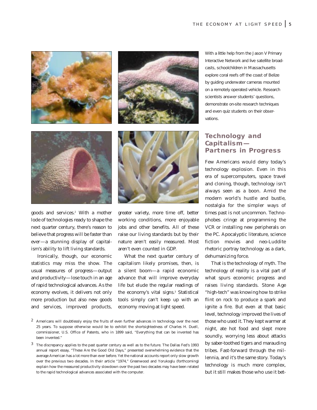





goods and services.2 With a mother lode of technologies ready to shape the next quarter century, there's reason to believe that progress will be faster than ever—a stunning display of capitalism's ability to lift living standards.

Ironically, though, our economic statistics may miss the show. The usual measures of progress—output and productivity—lose touch in an age of rapid technological advances. As the economy evolves, it delivers not only more production but also new goods and services, improved products,



working conditions, more enjoyable jobs and other benefits. All of these raise our living standards but by their nature aren't easily measured. Most aren't even counted in GDP.

What the next quarter century of capitalism likely promises, then, is a *silent boom*—a rapid economic advance that will improve everyday life but elude the regular readings of the economy's vital signs.<sup>3</sup> Statistical tools simply can't keep up with an economy moving at light speed.

 $2$  Americans will doubtlessly enjoy the fruits of even further advances in technology over the next 25 years. To suppose otherwise would be to exhibit the shortsightedness of Charles H. Duell, commissioner, U.S. Office of Patents, who in 1899 said, "Everything that can be invented has been invented."

3 The discrepancy applies to the past quarter century as well as to the future. The Dallas Fed's 1993 annual report essay, "These Are the Good Old Days," presented overwhelming evidence that the average American has a lot more than ever before. Yet the national accounts report only slow growth over the previous two decades. In their article "1974," Greenwood and Yorukoglu (forthcoming) explain how the measured productivity slowdown over the past two decades may have been related to the rapid technological advances associated with the computer.

With a little help from the Jason V Primary Interactive Network and live satellite broadcasts, schoolchildren in Massachusetts explore coral reefs off the coast of Belize by guiding underwater cameras mounted on a remotely operated vehicle. Research scientists answer students' questions, demonstrate on-site research techniques and even quiz students on their observations.

## *Technology and Capitalism— Partners in Progress*

Few Americans would deny today's technology explosion. Even in this era of supercomputers, space travel and cloning, though, technology isn't always seen as a boon. Amid the modern world's hustle and bustle, nostalgia for the simpler ways of times past is not uncommon. Technophobes cringe at programming the VCR or installing new peripherals on the PC. Apocalyptic literature, science fiction movies and neo-Luddite rhetoric portray technology as a dark, dehumanizing force.

That is the technology of *myth.* The technology of *reality* is a vital part of what spurs economic progress and raises living standards. Stone Age "high-tech" was knowing how to strike flint on rock to produce a spark and ignite a fire. But even at that basic level, technology improved the lives of those who used it.They kept warmer at night, ate hot food and slept more soundly, worrying less about attacks by saber-toothed tigers and marauding tribes. Fast-forward through the millennia, and it's the same story. Today's technology is much more complex, but it still makes those who use it bet-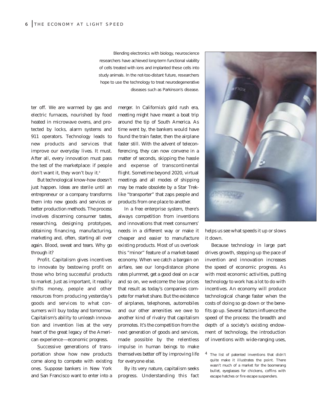Blending electronics with biology, neuroscience researchers have achieved long-term functional viability of cells treated with ions and implanted these cells into study animals. In the not-too-distant future, researchers hope to use the technology to treat neurodegenerative diseases such as Parkinson's disease.

ter off. We are warmed by gas and electric furnaces, nourished by food heated in microwave ovens, and protected by locks, alarm systems and 911 operators. Technology leads to new products and services that improve our everyday lives. It must. After all, every innovation must pass the test of the marketplace: if people don't want it, they won't buy it.<sup>4</sup>

But technological know-how doesn't just happen. Ideas are sterile until an entrepreneur or a company transforms them into new goods and services or better production methods. The process involves discerning consumer tastes, researching, designing prototypes, obtaining financing, manufacturing, marketing and, often, starting all over again. Blood, sweat and tears. Why go through it?

Profit. Capitalism gives incentives to innovate by bestowing profit on those who bring successful products to market. Just as important, it readily shifts money, people and other resources from producing yesterday's goods and services to what consumers will buy today and tomorrow. Capitalism's ability to unleash innovation and invention lies at the very heart of the great legacy of the American experience—*economic progress.*

Successive generations of transportation show how new products come along to compete with existing ones. Suppose bankers in New York and San Francisco want to enter into a

merger. In California's gold rush era, meeting might have meant a boat trip around the tip of South America. As time went by, the bankers would have found the train faster, then the airplane faster still. With the advent of teleconferencing, they can now convene in a matter of seconds, skipping the hassle and expense of transcontinental flight. Sometime beyond 2020, virtual meetings and all modes of shipping may be made obsolete by a *Star Trek*like "transporter" that zaps people and products from one place to another.

In a free enterprise system, there's always competition from inventions and innovations that meet consumers' needs in a different way or make it cheaper and easier to manufacture existing products. Most of us overlook this "minor" feature of a market-based economy. When we catch a bargain on airfare, see our long-distance phone rates plummet, get a good deal on a car and so on, we welcome the low prices that result as today's companies compete for market share. But the *existence* of airplanes, telephones, automobiles and our other amenities we owe to another kind of rivalry that capitalism promotes. It's the competition from the next generation of goods and services, made possible by the relentless impulse in human beings to make themselves better off by improving life for everyone else.

By its very nature, capitalism seeks progress. Understanding this fact

helps us see what speeds it up or slows it down.

Because technology in large part drives growth, stepping up the pace of invention and innovation increases the speed of economic progress. As with most economic activities, putting technology to work has a lot to do with incentives. An economy will produce technological change faster when the costs of doing so go down or the benefits go up. Several factors influence the speed of the process: the breadth and depth of a society's existing endowment of technology, the introduction of inventions with wide-ranging uses,

4 The list of patented inventions that didn't quite make it illustrates the point. There wasn't much of a market for the boomerang bullet, eyeglasses for chickens, coffins with escape hatches or fire escape suspenders.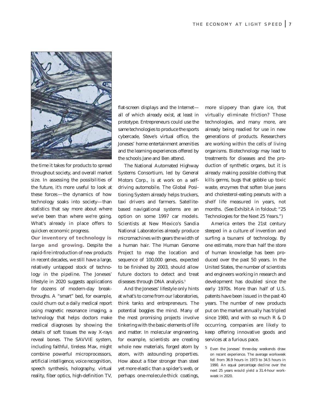

the time it takes for products to spread throughout society, and overall market size. In assessing the possibilities of the future, it's more useful to look at these forces—the dynamics of how technology soaks into society—than statistics that say more about where we've been than where we're going. What's already in place offers to quicken economic progress.

*Our inventory of technology is large and growing.* Despite the rapid-fire introduction of new products in recent decades, we still have a large, relatively untapped stock of technology in the pipeline. The Joneses' lifestyle in 2020 suggests applications for dozens of modern-day breakthroughs. A "smart" bed, for example, could churn out a daily medical report using magnetic resonance imaging, a technology that helps doctors make medical diagnoses by showing the details of soft tissues the way X-rays reveal bones. The SAVVIE system, including faithful, tireless Max, might combine powerful microprocessors, artificial intelligence, voice recognition, speech synthesis, holography, virtual reality, fiber optics, high-definition TV,

flat-screen displays and the Internet all of which already exist, at least in prototype. Entrepreneurs could use the same technologies to produce the sports cybercade, Steve's virtual office, the Joneses' home entertainment amenities and the learning experiences offered by the schools Jane and Ben attend.

The National Automated Highway Systems Consortium, led by General Motors Corp., is at work on a selfdriving automobile. The Global Positioning System already helps truckers, taxi drivers and farmers. Satellitebased navigational systems are an option on some 1997 car models. Scientists at New Mexico's Sandia National Laboratories already produce micromachines with gears the width of a human hair. The Human Genome Project to map the location and sequence of 100,000 genes, expected to be finished by 2003, should allow future doctors to detect and treat diseases through DNA analysis.<sup>5</sup>

And the Joneses' lifestyle only hints at what's to come from our laboratories, think tanks and entrepreneurs. The potential boggles the mind. Many of the most promising projects involve tinkering with the basic elements of life and matter. In molecular engineering, for example, scientists are creating whole new materials, forged atom by atom, with astounding properties. How about a fiber stronger than steel yet more elastic than a spider's web, or perhaps one-molecule-thick coatings,

more slippery than glare ice, that virtually eliminate friction? Those technologies, and many more, are already being readied for use in new generations of products. Researchers are working within the cells of living organisms. Biotechnology may lead to treatments for diseases and the production of synthetic organs, but it is already making possible clothing that kills germs, bugs that gobble up toxic waste, enzymes that soften blue jeans and cholesterol-eating peanuts with a shelf life measured in years, not months. *(See Exhibit A in foldout: "25 Technologies for the Next 25 Years.")*

America enters the 21st century steeped in a culture of invention and surfing a tsunami of technology. By one estimate, more than half the store of human knowledge has been produced over the past 50 years. In the United States, the number of scientists and engineers working in research and development has doubled since the early 1970s. More than half of U.S. patents have been issued in the past 40 years. The number of new products put on the market annually has tripled since 1980, and with so much R & D occurring, companies are likely to keep offering innovative goods and services at a furious pace.

5 Even the Joneses' three-day weekends draw on recent experience. The average workweek fell from 36.9 hours in 1973 to 34.5 hours in 1990. An equal percentage decline over the next 25 years would yield a 31.4-hour workweek in 2020.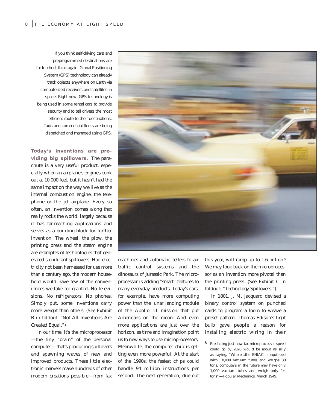If you think self-driving cars and preprogrammed destinations are far-fetched, think again. Global Positioning System (GPS) technology can already track objects anywhere on Earth via computerized receivers and satellites in space. Right now, GPS technology is being used in some rental cars to provide security and to tell drivers the most efficient route to their destinations. Taxis and commercial fleets are being dispatched and managed using GPS.

*Today's inventions are providing big spillovers.* The parachute is a very useful product, especially when an airplane's engines conk out at 10,000 feet, but it hasn't had the same impact on the way we live as the internal combustion engine, the telephone or the jet airplane. Every so often, an invention comes along that really rocks the world, largely because it has far-reaching applications and serves as a building block for further invention. The wheel, the plow, the printing press and the steam engine are examples of technologies that generated significant spillovers. Had electricity not been harnessed for use more than a century ago, the modern household would have few of the conveniences we take for granted. No televisions. No refrigerators. No phones. Simply put, some inventions carry more weight than others. *(See Exhibit B in foldout: "Not All Inventions Are Created Equal.")*

In our time, it's the microprocessor —the tiny "brain" of the personal computer—that's producing spillovers and spawning waves of new and improved products. These little electronic marvels make hundreds of other modern creations possible—from fax



machines and automatic tellers to air traffic control systems and the dinosaurs of *Jurassic Park.* The microprocessor is adding "smart" features to many everyday products. Today's cars, for example, have more computing power than the lunar landing module of the Apollo 11 mission that put Americans on the moon. And even more applications are just over the horizon, as time and imagination point us to new ways to use microprocessors. Meanwhile, the computer chip is getting even more powerful. At the start of the 1990s, the fastest chips could handle 94 million instructions per second. The next generation, due out this year, will ramp up to  $1.6$  billion.<sup>6</sup> We may look back on the microprocessor as an invention more pivotal than the printing press. *(See Exhibit C in foldout: "Technology Spillovers.")*

In 1801, J. M. Jacquard devised a binary control system on punched cards to program a loom to weave a preset pattern. Thomas Edison's light bulb gave people a reason for installing electric wiring in their

6 Predicting just how far microprocessor speed could go by 2020 would be about as silly as saying, "Where…the ENIAC is equipped with 18,000 vacuum tubes and weighs 30 tons, computers in the future may have only 1,000 vacuum tubes and weigh only 1½ tons"—*Popular Mechanics,* March 1949.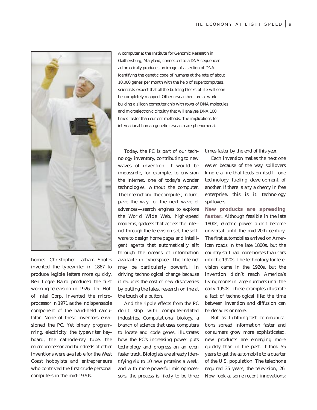

homes. Christopher Latham Sholes invented the typewriter in 1867 to produce legible letters more quickly. Ben Logee Baird produced the first working television in 1926. Ted Hoff of Intel Corp. invented the microprocessor in 1971 as the indispensable component of the hand-held calculator. None of these inventors envisioned the PC. Yet binary programming, electricity, the typewriter keyboard, the cathode-ray tube, the microprocessor and hundreds of other inventions were available for the West Coast hobbyists and entrepreneurs who contrived the first crude personal computers in the mid-1970s.

A computer at the Institute for Genomic Research in Gaithersburg, Maryland, connected to a DNA sequencer automatically produces an image of a section of DNA. Identifying the genetic code of humans at the rate of about 10,000 genes per month with the help of supercomputers, scientists expect that all the building blocks of life will soon be completely mapped. Other researchers are at work building a silicon computer chip with rows of DNA molecules and microelectronic circuitry that will analyze DNA 100 times faster than current methods. The implications for international human genetic research are phenomenal.

Today, the PC is part of our technology inventory, contributing to new waves of invention. It would be impossible, for example, to envision the Internet, one of today's wonder technologies, without the computer. The Internet and the computer, in turn, pave the way for the next wave of advances—search engines to explore the World Wide Web, high-speed modems, gadgets that access the Internet through the television set, the software to design home pages and intelligent agents that automatically sift through the oceans of information available in cyberspace. The Internet may be particularly powerful in driving technological change because it reduces the cost of new discoveries by putting the latest research online at the touch of a button.

And the ripple effects from the PC don't stop with computer-related industries. Computational biology, a branch of science that uses computers to locate and code genes, illustrates how the PC's increasing power puts technology and progress on an even faster track. Biologists are already identifying six to 10 new proteins a week, and with more powerful microprocessors, the process is likely to be three

times faster by the end of this year.

Each invention makes the next one easier because of the way spillovers kindle a fire that feeds on itself—one technology fueling development of another. If there is any alchemy in free enterprise, this is it: technology spillovers.

*New products are spreading faster.* Although feasible in the late 1800s, electric power didn't become universal until the mid-20th century. The first automobiles arrived on American roads in the late 1800s, but the country still had more horses than cars into the 1920s. The technology for television came in the 1920s, but the invention didn't reach America's living rooms in large numbers until the early 1950s. These examples illustrate a fact of technological life: the time between invention and diffusion can be decades or more.

But as lightning-fast communications spread information faster and consumers grow more sophisticated, new products are emerging more quickly than in the past. It took 55 years to get the automobile to a quarter of the U.S. population. The telephone required 35 years; the television, 26. Now look at some recent innovations: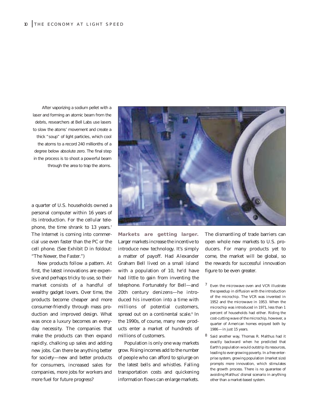After vaporizing a sodium pellet with a laser and forming an atomic beam from the debris, researchers at Bell Labs use lasers to slow the atoms' movement and create a thick "soup" of light particles, which cool the atoms to a record 240 millionths of a degree below absolute zero. The final step in the process is to shoot a powerful beam through the area to trap the atoms.

a quarter of U.S. households owned a personal computer within 16 years of its introduction. For the cellular telephone, the time shrank to 13 years.<sup>7</sup> The Internet is coming into commercial use even faster than the PC or the cell phone. *(See Exhibit D in foldout: "The Newer, the Faster.")*

New products follow a pattern. At first, the latest innovations are expensive and perhaps tricky to use, so their market consists of a handful of wealthy gadget lovers. Over time, the products become cheaper and more consumer-friendly through mass production and improved design. What was once a luxury becomes an everyday necessity. The companies that make the products can then expand rapidly, chalking up sales and adding new jobs. Can there be anything better for society—new and better products for consumers, increased sales for companies, more jobs for workers and *more fuel for future progress?*



*Markets are getting larger.* Larger markets increase the incentive to introduce new technology. It's simply a matter of payoff. Had Alexander Graham Bell lived on a small island with a population of 10, he'd have had little to gain from inventing the telephone. Fortunately for Bell—and 20th century denizens—he introduced his invention into a time with millions of potential customers, spread out on a continental scale.<sup>8</sup> In the 1990s, of course, many new products enter a market of hundreds of millions of customers.

Population is only one way markets grow. Rising incomes add to the number of people who can afford to splurge on the latest bells and whistles. Falling transportation costs and quickening information flows can enlarge markets.

The dismantling of trade barriers can open whole new markets to U.S. producers. For many products yet to come, the market will be global, so the rewards for successful innovation figure to be even greater.

- 7 Even the microwave oven and VCR illustrate the speedup in diffusion with the introduction of the microchip. The VCR was invented in 1952 and the microwave in 1953. When the microchip was introduced in 1971, less than 1 percent of households had either. Riding the cost-cutting wave of the microchip, however, a quarter of American homes enjoyed both by 1986—in just 15 years.
- 8 Said another way, Thomas R. Malthus had it exactly backward when he predicted that Earth's population would outstrip its resources, leading to ever-growing poverty. In a free enterprise system, growing population (market size) prompts more innovation, which stimulates the growth process. There is no guarantee of avoiding Malthus' dismal scenario in anything other than a market-based system.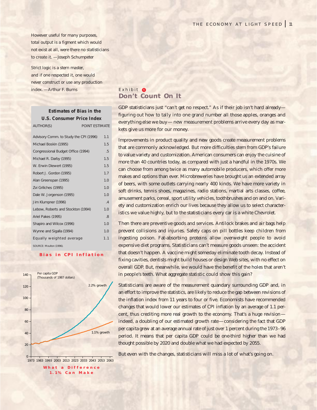*However useful for many purposes, total output is a figment which would not exist at all, were there no statisticians to create it.* —Joseph Schumpeter

*Strict logic is a stern master, and if one respected it, one would never construct or use any production index.* —Arthur F. Burns

## **Estimates of Bias in the U.S. Consumer Price Index** AUTHOR(S) POINT ESTIMATE

| Advisory Comm. to Study the CPI (1996) | 1.1 |
|----------------------------------------|-----|
| Michael Boskin (1995)                  | 1.5 |
| Congressional Budget Office (1994)     | .5  |
| Michael R. Darby (1995)                | 1.5 |
| W. Erwin Diewert (1995)                | 1.5 |
| Robert J. Gordon (1995)                | 1.7 |
| Alan Greenspan (1995)                  | 1.0 |
| Zvi Griliches (1995)                   | 1.0 |
| Dale W. Jorgenson (1995)               | 1.0 |
| Jim Klumpner (1996)                    | .4  |
| Lebow, Roberts and Stockton (1994)     | 1.0 |
| Ariel Pakes (1995)                     | .8  |
| Shapiro and Wilcox (1996)              | 1.0 |
| Wynne and Sigalla (1994)               | 1.0 |
| Equally weighted average               | 1.1 |
| SOURCE: Moulton (1996).                |     |

#### *Bias in CPI Inflation*



*What a Difference 1.1% Can Make*

#### Exhibit 0 *Don't Count On It*

GDP statisticians just "can't get no respect." As if their job isn't hard already figuring out how to tally into one grand number all those apples, oranges and everything else we buy— new measurement problems arrive every day as markets give us more for our money.

Improvements in product quality and new goods create measurement problems that are commonly acknowledged. But more difficulties stem from GDP's failure to value variety and customization. American consumers can enjoy the cuisine of more than 40 countries today, as compared with just a handful in the 1970s. We can choose from among twice as many automobile producers, which offer more makes and options than ever. Microbreweries have brought us an extended array of beers, with some outlets carrying nearly 400 kinds. We have more variety in soft drinks, tennis shoes, magazines, radio stations, martial arts classes, coffee, amusement parks, cereal, sport utility vehicles, toothbrushes and on and on. Variety and customization enrich our lives because they allow us to select characteristics we value highly, but to the statisticians every car is a white Chevrolet.

Then there are preventive goods and services. Antilock brakes and air bags help prevent collisions and injuries. Safety caps on pill bottles keep children from ingesting poison. Fat-absorbing proteins allow overweight people to avoid expensive diet programs. Statisticians can't measure goods unseen: the accident that doesn't happen. A vaccine might someday eliminate tooth decay. Instead of fixing cavities, dentists might build houses or design Web sites, with no effect on overall GDP. But, meanwhile, we would have the benefit of the holes that *aren't* in people's teeth. What aggregate statistic could show this gain?

Statisticians are aware of the measurement quandary surrounding GDP and, in an effort to improve the statistics, are likely to reduce the gap between revisions of the inflation index from 11 years to four or five. Economists have recommended changes that would lower our estimates of CPI inflation by an average of 1.1 percent, thus crediting more real growth to the economy. That's a huge revision indeed, a doubling of our estimated growth rate—considering the fact that GDP per capita grew at an average annual rate of just over 1 percent during the 1973–96 period. It means that per capita GDP could be one-third higher than we had thought possible by 2020 and double what we had expected by 2055.

But even with the changes, statisticians will miss a lot of what's going on.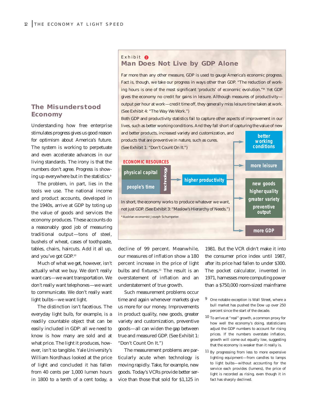## *The Misunderstood Economy*

Understanding how free enterprise stimulates progress gives us good reason for optimism about America's future. The system is working to perpetuate and even accelerate advances in our living standards. The irony is that the numbers don't agree. Progress is showing up everywhere but in the statistics.9

The problem, in part, lies in the tools we use. The national income and product accounts, developed in the 1940s, arrive at GDP by toting up the value of goods and services the economy produces. These accounts do a reasonably good job of measuring traditional output—tons of steel, bushels of wheat, cases of toothpaste, tables, chairs, haircuts. Add it all up, and you've got GDP. 10

Much of what we get, however, isn't actually what we buy. We don't really want cars—we want transportation. We don't really want telephones—we want to communicate. We don't really want light bulbs—we want light.

The distinction isn't facetious. The everyday light bulb, for example, is a readily countable object that can be easily included in GDP: all we need to know is how many are sold and at what price. The light it produces, however, isn't so tangible. Yale University's William Nordhaus looked at the price of light and concluded it has fallen from 40 cents per 1,000 lumen hours in 1800 to a tenth of a cent today, a

#### Exhibit <sup>2</sup> *Man Does Not Live by GDP Alone*

Far more than any other measure, GDP is used to gauge America's economic progress. Fact is, though, we take our progress in ways other than GDP. "The reduction of working hours is one of the most significant 'products' of economic evolution."\* Yet GDP gives the economy no credit for gains in leisure. Although measures of productivity output per hour at work—credit time off, they generally miss leisure time taken at work. *(See Exhibit 4: "The Way We Work.")*

Both GDP and productivity statistics fail to capture other aspects of improvement in our lives, such as better working conditions. And they fall short of capturing the value of new



decline of 99 percent. Meanwhile, our measures of inflation show a 180 percent increase in the price of light bulbs and fixtures.<sup>11</sup> The result is an overstatement of inflation and an understatement of true growth.

Such measurement problems occur time and again whenever markets give us more for our money. Improvements in product quality, new goods, greater variety and customization, preventive goods—all can widen the gap between true and measured GDP. *(See Exhibit 1: "Don't Count On It.")*

The measurement problems are particularly acute when technology is moving rapidly. Take, for example, new goods. Today's VCRs provide better service than those that sold for \$1,125 in 1981. But the VCR didn't make it into the consumer price index until 1987, after its price had fallen to under \$300. The pocket calculator, invented in 1971, harnesses more computing power than a \$750,000 room-sized mainframe

- 9 One notable exception is Wall Street, where a bull market has pushed the Dow up over 250 percent since the start of the decade.
- 10 To arrive at "real" growth, a common proxy for how well the economy's doing, statisticians adjust the GDP numbers to account for rising prices. If the numbers overstate inflation, growth will come out equally low, suggesting that the economy is weaker than it really is.
- 11 By progressing from less to more expensive lighting equipment—from candles to lamps to light bulbs—without accounting for the service each provides (lumens), the price of light is recorded as rising, even though it in fact has sharply declined.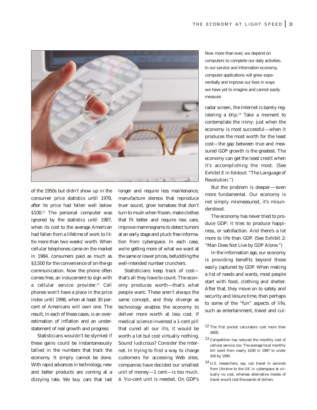

of the 1950s but didn't show up in the consumer price statistics until 1978, after its price had fallen well below \$100.<sup>12</sup> The personal computer was ignored by the statistics until 1987, when its cost to the average American had fallen from a lifetime of work to little more than two weeks' worth. When cellular telephones came on the market in 1984, consumers paid as much as \$3,500 for the convenience of on-the-go communication. Now the phone often comes free, an inducement to sign with a cellular service provider. <sup>13</sup> Cell phones won't have a place in the price index until 1998, when at least 30 percent of Americans will own one. The result, in each of these cases, is an overestimation of inflation and an understatement of real growth and progress.

Statisticians wouldn't be stymied if these gains could be instantaneously tallied in the numbers that track the economy. It simply cannot be done. With rapid advances in technology, new and better products are coming at a dizzying rate. We buy cars that last

longer and require less maintenance, manufacture stereos that reproduce truer sound, grow tomatoes that don't turn to mush when frozen, make clothes that fit better and require less care, improve mammograms to detect tumors at an early stage and pluck free information from cyberspace. In each case, we're getting more of what we want at the same or lower prices, befuddling the well-intended number crunchers.

Statisticians keep track of cost that's all they have to count. The economy produces worth—that's what people want. These aren't always the same concept, and they diverge as technology enables the economy to deliver more worth at less cost. If medical science invented a 1-cent pill that cured all our ills, it would be worth a lot but cost virtually nothing. Sound ludicrous? Consider the Internet. In trying to find a way to charge customers for accessing Web sites, companies have decided our smallest unit of money—1 cent—is too much. A 1/10-cent unit is needed. On GDP's Now more than ever, we depend on computers to complete our daily activities. In our service and information economy, computer applications will grow exponentially and improve our lives in ways we have yet to imagine and cannot easily measure.

radar screen, the Internet is barely registering a blip.14 Take a moment to contemplate the irony: just when the economy is most successful—when it produces the most worth for the least cost—the gap between true and measured GDP growth is the greatest. The economy can get the least credit when it's accomplishing the most. *(See Exhibit E in foldout: "The Language of Revolution.")* 

But the problem is deeper—even more fundamental. Our economy is not simply mismeasured, it's misunderstood.

The economy has never *tried* to produce GDP: it tries to produce happiness, or satisfaction. And there's a lot more to life than GDP. *(See Exhibit 2: "Man Does Not Live by GDP Alone.")*

In the information age, our economy is providing benefits beyond those easily captured by GDP. When making a list of needs and wants, most people start with food, clothing and shelter. After that, they move on to safety and security and leisure time, then perhaps to some of the "fun" aspects of life, such as entertainment, travel and cul-

- 13 Competition has reduced the monthly cost of cellular service, too. The average local monthly bill went from nearly \$100 in 1987 to under \$50 by 1995.
- 14 U.S. researchers, say, can travel in seconds from Ukraine to the UK in cyberspace at virtually no cost, whereas alternative modes of travel would cost thousands of dollars.

<sup>12</sup> The first pocket calculators cost more than \$600.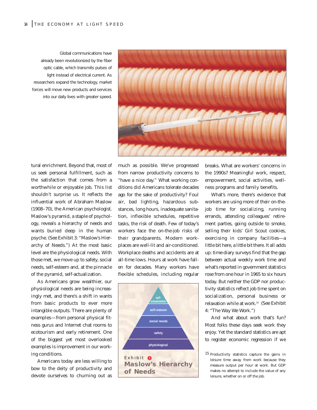Global communications have already been revolutionized by the fiber optic cable, which transmits pulses of light instead of electrical current. As researchers expand the technology, market forces will move new products and services into our daily lives with greater speed.



tural enrichment. Beyond that, most of us seek personal fulfillment, such as the satisfaction that comes from a worthwhile or enjoyable job. This list shouldn't surprise us. It reflects the influential work of Abraham Maslow (1908–70), the American psychologist. Maslow's pyramid, a staple of psychology, reveals a hierarchy of needs and wants buried deep in the human psyche. *(See Exhibit 3: "Maslow's Hierarchy of Needs.")* At the most basic level are the physiological needs. With those met, we move up to safety, social needs, self-esteem and, at the pinnacle of the pyramid, self-actualization.

As Americans grow wealthier, our physiological needs are being increasingly met, and there's a shift in wants from basic products to ever more intangible outputs. There are plenty of examples—from personal physical fitness gurus and Internet chat rooms to ecotourism and early retirement. One of the biggest yet most overlooked examples is improvement in our working conditions.

Americans today are less willing to bow to the deity of productivity and devote ourselves to churning out as

much as possible. We've progressed from narrow productivity concerns to "have a nice day." What working conditions did Americans tolerate decades ago for the sake of productivity? Foul air, bad lighting, hazardous substances, long hours, inadequate sanitation, inflexible schedules, repetitive tasks, the risk of death. Few of today's workers face the on-the-job risks of their grandparents. Modern workplaces are well-lit and air-conditioned. Workplace deaths and accidents are at all-time lows. Hours at work have fallen for decades. Many workers have flexible schedules, including regular



breaks. What are workers' concerns in the 1990s? Meaningful work, respect, empowerment, social activities, wellness programs and family benefits.

What's more, there's evidence that workers are using more of their on-thejob time for socializing, running errands, attending colleagues' retirement parties, going outside to smoke, selling their kids' Girl Scout cookies, exercising in company facilities—a little bit here, a little bit there. It all adds up: time-diary surveys find that the gap between actual weekly work time and what's reported in government statistics rose from one hour in 1965 to six hours today. But neither the GDP nor productivity statistics reflect job time spent on socialization, personal business or relaxation while at work.15 *(See Exhibit 4: "The Way We Work.")*

And what about work that's fun? Most folks these days seek work they enjoy. Yet the standard statistics are apt to register economic regression if we

<sup>15</sup> Productivity statistics capture the gains in leisure time away from work because they measure output per hour at work. But GDP makes no attempt to include the value of any leisure, whether on or off the job.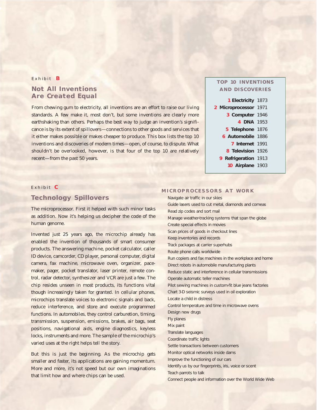#### Exhibit *B*

## *Not All Inventions Are Created Equal*

From chewing gum to electricity, all inventions are an effort to raise our living standards. A few make it, most don't, but some inventions are clearly more earthshaking than others. Perhaps the best way to judge an invention's significance is by its extent of spillovers—connections to other goods and services that it either makes possible or makes cheaper to produce. This box lists the top 10 inventions and discoveries of modern times—open, of course, to dispute. What shouldn't be overlooked, however, is that four of the top 10 are relatively recent—from the past 50 years.

#### *TOP 10 INVENTIONS AND DISCOVERIES*

#### Exhibit *C*

## *Technology Spillovers*

The microprocessor. First it helped with such minor tasks as addition. Now it's helping us decipher the code of the human genome.

Invented just 25 years ago, the microchip already has enabled the invention of thousands of smart consumer products. The answering machine, pocket calculator, caller ID device, camcorder, CD player, personal computer, digital camera, fax machine, microwave oven, organizer, pacemaker, pager, pocket translator, laser printer, remote control, radar detector, synthesizer and VCR are just a few. The chip resides unseen in most products, its functions vital though increasingly taken for granted. In cellular phones, microchips translate voices to electronic signals and back, reduce interference, and store and execute programmed functions. In automobiles, they control carburetion, timing, transmission, suspension, emissions, brakes, air bags, seat positions, navigational aids, engine diagnostics, keyless locks, instruments and more. The sample of the microchip's varied uses at the right helps tell the story.

But this is just the beginning. As the microchip gets smaller and faster, its applications are gaining momentum. More and more, it's not speed but our own imaginations that limit how and where chips can be used.

#### *MICROPROCESSORS AT WORK*

Navigate air traffic in our skies Guide lasers used to cut metal, diamonds and corneas Read zip codes and sort mail Manage weather-tracking systems that span the globe Create special effects in movies Scan prices of goods in checkout lines Keep inventories and records Track packages at carrier superhubs Route phone calls worldwide Run copiers and fax machines in the workplace and home Direct robots in automobile manufacturing plants Reduce static and interference in cellular transmissions Operate automatic teller machines Pilot sewing machines in custom-fit blue jeans factories Chart 3-D seismic surveys used in oil exploration Locate a child in distress Control temperature and time in microwave ovens Design new drugs Fly planes Mix paint Translate languages Coordinate traffic lights Settle transactions between customers Monitor optical networks inside dams Improve the functioning of our cars Identify us by our fingerprints, iris, voice or scent Teach parrots to talk Connect people and information over the World Wide Web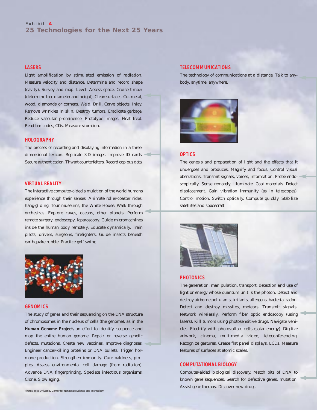### Exhibit *A 25 Technologies for the Next 25 Years*

#### **LASERS**

*Light amplification by stimulated emission of radiation.* Measure velocity and distance. Determine and record shape (cavity). Survey and map. Level. Assess space. Cruise timber (determine tree diameter and height). Clean surfaces. Cut metal, wood, diamonds or corneas. Weld. Drill. Carve objects. Inlay. Remove wrinkles in skin. Destroy tumors. Eradicate garbage. Reduce vascular prominence. Prototype images. Heat treat. Read bar codes, CDs. Measure vibration.

#### **HOLOGRAPHY**

*The process of recording and displaying information in a threedimensional lexicon.* Replicate 3-D images. Improve ID cards. Secure authentication. Thwart counterfeiters. Record copious data.

#### **VIRTUAL REALITY**

*The interactive computer-aided simulation of the world humans experience through their senses.* Animate roller-coaster rides, hang-gliding. Tour museums, the White House. Walk through orchestras. Explore caves, oceans, other planets. Perform remote surgery, endoscopy, laparoscopy. Guide micromachines inside the human body remotely. Educate dynamically. Train pilots, drivers, surgeons, firefighters. Guide insects beneath earthquake rubble. Practice golf swing.



#### **GENOMICS**

*The study of genes and their sequencing on the DNA structure of chromosomes in the nucleus of cells (the genome), as in the Human Genome Project, an effort to identify, sequence and map the entire human genome.* Repair or reverse genetic defects, mutations. Create new vaccines. Improve diagnoses. Engineer cancer-killing proteins or DNA bullets. Trigger hormone production. Strengthen immunity. Cure baldness, pimples. Assess environmental cell damage (from radiation). Advance DNA fingerprinting. Speciate infectious organisms. Clone. Slow aging.

#### **TELECOMMUNICATIONS**

*The technology of communications at a distance.* Talk to anybody, anytime, anywhere.



#### **OPTICS**

*The genesis and propagation of light and the effects that it undergoes and produces.* Magnify and focus. Control visual aberrations. Transmit signals, voices, information. Probe endoscopically. Sense remotely. Illuminate. Coat materials. Detect displacement. Gain vibration immunity (as in telescopes). Control motion. Switch optically. Compute quickly. Stabilize satellites and spacecraft.



#### **PHOTONICS**

*The generation, manipulation, transport, detection and use of light or energy whose quantum unit is the photon.* Detect and destroy airborne pollutants, irritants, allergens, bacteria, radon. Detect and destroy missiles, meteors. Transmit signals. Network wirelessly. Perform fiber optic endoscopy (using lasers). Kill tumors using photosensitive drugs. Navigate vehicles. Electrify with photovoltaic cells (solar energy). Digitize artwork, cinema, multimedia video, teleconferencing. Recognize gestures. Create flat panel displays, LCDs. Measure features of surfaces at atomic scales.

#### **COMPUTATIONAL BIOLOGY**

*Computer-aided biological discovery.* Match bits of DNA to known gene sequences. Search for defective genes, mutation. Assist gene therapy. Discover new drugs.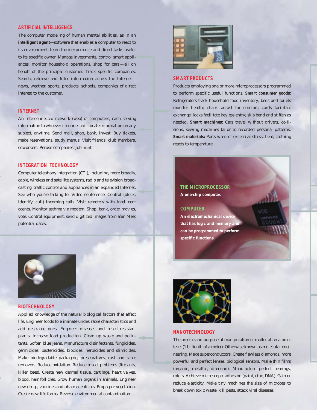#### **ARTIFICIAL INTELLIGENCE**

*The computer modeling of human mental abilities, as in an intelligent agent—software that enables a computer to react to its environment, learn from experience and direct tasks useful to its specific owner.* Manage investments, control smart appliances, monitor household operations, shop for cars—all on behalf of the principal customer. Track specific companies. Search, retrieve and filter information across the Internet news, weather, sports, products, schools, companies of direct interest to the customer.

#### **INTERNET**

*An interconnected network (web) of computers, each serving information to whoever is connected.* Locate information on any subject, anytime. Send mail, shop, bank, invest. Buy tickets, make reservations, study menus. Visit friends, club members, coworkers. Peruse companies. Job hunt.

#### **INTEGRATION TECHNOLOGY**

*Computer telephony integration (CTI), including, more broadly, cable, wireless and satellite systems, radio and television broadcasting, traffic control and appliances in an expanded Internet.* See who you're talking to. Video conference. Control (block, identify, cull) incoming calls. Visit remotely with intelligent agents. Monitor asthma via modem. Shop, bank, order movies, vote. Control equipment, send digitized images from afar. Meet potential dates.



#### **BIOTECHNOLOGY**

*Applied knowledge of the natural biological factors that affect life.* Engineer foods to eliminate undesirable characteristics and add desirable ones. Engineer disease- and insect-resistant plants. Increase food production. Clean up waste and pollutants. Soften blue jeans. Manufacture disinfectants, fungicides, germicides, bactericides, biocides, herbicides and slimicides. Make biodegradable packaging, preservatives, rust and scale removers. Reduce oxidation. Reduce insect problems (fire ants, killer bees). Create new dermal tissue, cartilage, heart valves, blood, hair follicles. Grow human organs in animals. Engineer new drugs, vaccines and pharmaceuticals. Propagate vegetation. Create new life forms. Reverse environmental contamination.



#### **SMART PRODUCTS**

*Products employing one or more microprocessors programmed to perform specific useful functions.* **Smart consumer goods:** Refrigerators track household food inventory; beds and toilets monitor health; chairs adjust for comfort; cards facilitate exchange; locks facilitate keyless entry; skis bend and stiffen as needed. **Smart machines:** Cars travel without drivers, collisions; sewing machines tailor to recorded personal patterns. **Smart materials:** Parts warn of excessive stress, heat; clothing reacts to temperature.

#### **THE MICROPROCESSOR A one-chip computer.**

#### **COMPUTER**

An electromechanical devic that has logic and memory **can be programmed to perform specific functions.**



#### **NANOTECHNOLOGY**

*The precise and purposeful manipulation of matter at an atomic level (1 billionth of a meter). Otherwise known as molecular engineering.* Make superconductors. Create flawless diamonds, more powerful and perfect lenses, biological sensors. Make thin films (organic, metallic, diamond). Manufacture perfect bearings, rotors. Achieve microscopic adhesion (paint, glue, DNA). Gain or reduce elasticity. Make tiny machines the size of microbes to break down toxic waste, kill pests, attack viral diseases.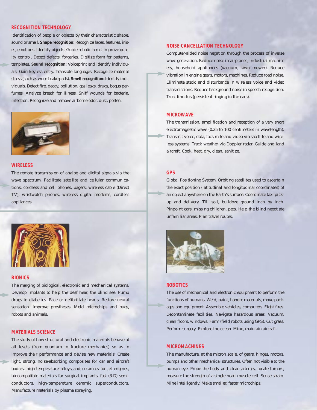#### **RECOGNITION TECHNOLOGY**

*Identification of people or objects by their characteristic shape, sound or smell.* **Shape recognition:** Recognize faces, features, irises, emotions. Identify objects. Guide robotic arms. Improve quality control. Detect defects, forgeries. Digitize form for patterns, templates. **Sound recognition:** Voiceprint and identify individuals. Gain keyless entry. Translate languages. Recognize material stress (such as worn brake pads). **Smell recognition:** Identify individuals. Detect fire, decay, pollution, gas leaks, drugs, bogus perfumes. Analyze breath for illness. Sniff wounds for bacteria, infection. Recognize and remove airborne odor, dust, pollen.



#### **WIRELESS**

*The remote transmission of analog and digital signals via the wave spectrum.* Facilitate satellite and cellular communications: cordless and cell phones, pagers, wireless cable (Direct TV), wristwatch phones, wireless digital modems, cordless appliances.



#### **BIONICS**

*The merging of biological, electronic and mechanical systems.* Develop implants to help the deaf hear, the blind see. Pump drugs to diabetics. Pace or defibrillate hearts. Restore neural sensation. Improve prostheses. Meld microchips and bugs, robots and animals.

#### **MATERIALS SCIENCE**

*The study of how structural and electronic materials behave at all levels (from quantum to fracture mechanics) so as to improve their performance and devise new materials.* Create light, strong, noise-absorbing composites for car and aircraft bodies, high-temperature alloys and ceramics for jet engines, biocompatible materials for surgical implants, fast (3-D) semiconductors, high-temperature ceramic superconductors. Manufacture materials by plasma spraying.

#### **NOISE CANCELLATION TECHNOLOGY**

*Computer-aided noise negation through the process of inverse wave generation.* Reduce noise in airplanes, industrial machinery, household appliances (vacuum, lawn mower). Reduce vibration in engine gears, motors, machines. Reduce road noise. Eliminate static and disturbance in wireless voice and video transmissions. Reduce background noise in speech recognition. Treat tinnitus (persistent ringing in the ears).

#### **MICROWAVE**

*The transmission, amplification and reception of a very short electromagnetic wave (0.25 to 100 centimeters in wavelength).* Transmit voice, data, facsimile and video via satellite and wireless systems. Track weather via Doppler radar. Guide and land aircraft. Cook, heat, dry, clean, sanitize.

#### **GPS**

*Global Positioning System. Orbiting satellites used to ascertain the exact position (latitudinal and longitudinal coordinates) of an object anywhere on the Earth's surface.* Coordinate taxi pickup and delivery. Till soil, bulldoze ground inch by inch. Pinpoint cars, missing children, pets. Help the blind negotiate unfamiliar areas. Plan travel routes.



#### **ROBOTICS**

*The use of mechanical and electronic equipment to perform the functions of humans.* Weld, paint, handle materials, move packages and equipment. Assemble vehicles, computers. Fight fires. Decontaminate facilities. Navigate hazardous areas. Vacuum, clean floors, windows. Farm (field robots using GPS). Cut grass. Perform surgery. Explore the ocean. Mine, maintain aircraft.

#### **MICROMACHINES**

*The manufacture, at the micron scale, of gears, hinges, motors, pumps and other mechanical structures. Often not visible to the human eye.* Probe the body and clean arteries, locate tumors, measure the strength of a single heart muscle cell. Sense strain. Mine intelligently. Make smaller, faster microchips.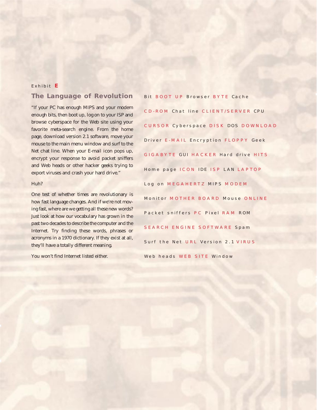#### Exhibit *E*

#### *The Language of Revolution*

"If your PC has enough MIPS and your modem enough bits, then boot up, log on to your ISP and browse cyberspace for the Web site using your favorite meta-search engine. From the home page, download version 2.1 software, move your mouse to the main menu window and surf to the Net chat line. When your E-mail icon pops up, encrypt your response to avoid packet sniffers and Web heads or other hacker geeks trying to export viruses and crash your hard drive."

#### Huh?

One test of whether times are revolutionary is how fast language changes. And if we're not moving fast, where are we getting all these new words? Just look at how our vocabulary has grown in the past two decades to describe the computer and the Internet. Try finding these words, phrases or acronyms in a 1970 dictionary. If they exist at all, they'll have a totally different meaning.

You won't find *Internet* listed either.

Bit BOOT UP Browser BYTE Cache CD-ROM Chat line CLIENT/SER VER CPU CURSOR Cyberspace DISK DOS DOWNLOAD Driver E-MAIL Encryption FLOPPY Geek GIGABYTE GUI HACKER Hard drive HITS Home page ICON IDE ISP LAN LAPTOP Log on MEGAHERTZ MIPS MODEM Monitor MOTHER BOARD Mouse ONLINE Packet sniffers PC Pixel RAM ROM SEARCH ENGINE SOFTWARE Spam Surf the Net URL Version 2.1 VIRUS Web heads WEB SITE Window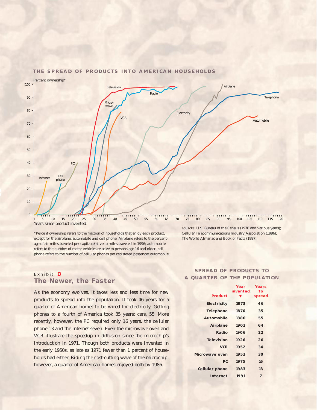

#### *THE SPREAD OF PRODUCTS INTO AMERICAN HOUSEHOLDS*

\**Percent ownership* refers to the fraction of households that enjoy each product, except for the airplane, automobile and cell phone. *Airplane* refers to the percentage of air miles traveled per capita relative to miles traveled in 1996; *automobile* refers to the number of motor vehicles relative to persons age 16 and older; *cell phone* refers to the number of cellular phones per registered passenger automobile.

#### Exhibit *D The Newer, the Faster*

As the economy evolves, it takes less and less time for new products to spread into the population. It took 46 years for a quarter of American homes to be wired for electricity. Getting phones to a fourth of America took 35 years; cars, 55. More recently, however, the PC required only 16 years, the cellular phone 13 and the Internet seven. Even the microwave oven and VCR illustrate the speedup in diffusion since the microchip's introduction in 1971. Though both products were invented in the early 1950s, as late as 1971 fewer than 1 percent of households had either. Riding the cost-cutting wave of the microchip, however, a quarter of American homes enjoyed both by 1986.

SOURCES: U.S. Bureau of the Census (1970 and various years); Cellular Telecommunications Industry Association (1996); The World Almanac and Book of Facts (1997).

## *SPREAD OF PRODUCTS TO A QUARTER OF THE POPULATION*

|                       | <i><b>Year</b></i> | Years  |
|-----------------------|--------------------|--------|
|                       | invented           | to     |
| <b>Product</b>        |                    | spread |
| <b>Electricity</b>    | 1873               | 46     |
| <b>Telephone</b>      | 1876               | 35     |
| <b>Automobile</b>     | 1886               | 55     |
| <b>Airplane</b>       | 1903               | 64     |
| <b>Radio</b>          | 1906               | 22     |
| <b>Television</b>     | 1926               | 26     |
| <b>VCR</b>            | 1952               | 34     |
| <b>Microwave oven</b> | 1953               | 30     |
| <b>PC</b>             | 1975               | 16     |
| <b>Cellular phone</b> | 1983               | 13     |
| <b>Internet</b>       | 1991               | 7      |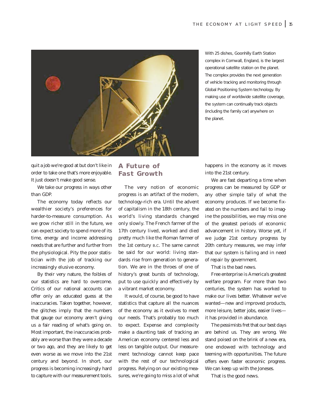

quit a job we're good at but don't like in order to take one that's more enjoyable. It just doesn't make good sense.

*We take our progress in ways other than GDP.* 

The economy today reflects our wealthier society's preferences for harder-to-measure consumption. As we grow richer still in the future, we can expect society to spend more of its time, energy and income addressing needs that are further and further from the physiological. Pity the poor statistician with the job of tracking our increasingly elusive economy.

By their very nature, the foibles of our statistics are hard to overcome. Critics of our national accounts can offer only an educated guess at the inaccuracies. Taken together, however, the glitches imply that the numbers that gauge our economy aren't giving us a fair reading of what's going on. Most important, the inaccuracies probably are worse than they were a decade or two ago, and they are likely to get even worse as we move into the 21st century and beyond. In short, our progress is becoming increasingly hard to capture with our measurement tools.

## *A Future of Fast Growth*

The very notion of economic progress is an artifact of the modern, technology-rich era. Until the advent of capitalism in the 18th century, the world's living standards changed only slowly. The French farmer of the 17th century lived, worked and died pretty much like the Roman farmer of the 1st century B.C. The same cannot be said for our world: living standards rise from generation to generation. We are in the throes of one of history's great bursts of technology, put to use quickly and effectively by a vibrant market economy.

It would, of course, be good to have statistics that capture all the nuances of the economy as it evolves to meet our needs. That's probably too much to expect. Expense and complexity make a daunting task of tracking an American economy centered less and less on tangible output. Our measurement technology cannot keep pace with the rest of our technological progress. Relying on our existing measures, we're going to miss a lot of what With 25 dishes, Goonhilly Earth Station complex in Cornwall, England, is the largest operational satellite station on the planet. The complex provides the next generation of vehicle tracking and monitoring through Global Positioning System technology. By making use of worldwide satellite coverage, the system can continually track objects (including the family car) anywhere on the planet.

happens in the economy as it moves into the 21st century.

We are fast departing a time when progress can be measured by GDP or any other simple tally of what the economy produces. If we become fixated on the numbers and fail to imagine the possibilities, we may miss one of the greatest periods of economic advancement in history. Worse yet, if we judge 21st century progress by 20th century measures, we may infer that our system is failing and in need of repair by government.

That is the bad news.

Free enterprise is America's greatest welfare program. For more than two centuries, the system has worked to make our lives better. Whatever we've wanted—new and improved products, more leisure, better jobs, easier lives it has provided in abundance.

The pessimists fret that our best days are behind us. They are wrong. We stand poised on the brink of a new era, one endowed with technology and teeming with opportunities. The future offers even faster economic progress. We *can* keep up with the Joneses.

That is the good news.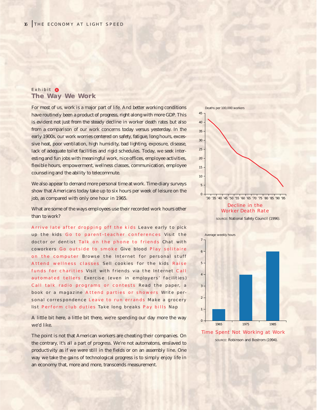#### Exhibit 4 *The Way We Work*

For most of us, work is a major part of life. And better working conditions have routinely been a product of progress, right along with more GDP. This is evident not just from the steady decline in worker death rates but also from a comparison of our work concerns today versus yesterday. In the early 1900s, our work worries centered on safety, fatigue, long hours, excessive heat, poor ventilation, high humidity, bad lighting, exposure, disease, lack of adequate toilet facilities and rigid schedules. Today, we seek interesting and fun jobs with meaningful work, nice offices, employee activities, flexible hours, empowerment, wellness classes, communication, employee counseling and the ability to telecommute.

We also appear to demand more personal time at work. Time-diary surveys show that Americans today take up to six hours per week of leisure on the job, as compared with only one hour in 1965.

What are some of the ways employees use their recorded work hours other than to work?

Arrive late after dropping off the kids Leave early to pick up the kids Go to parent–teacher conferences Visit the doctor or dentist Talk on the phone to friends Chat with coworkers Go outside to smoke Give blood Play solitaire on the computer Browse the Internet for personal stuff Attend wellness classes Sell cookies for the kids Raise funds for charities Visit with friends via the Internet Call automated tellers Exercise (even in employers' facilities) Call talk radio programs or contests Read the paper, a book or a magazine Attend parties or showers Write personal correspondence Leave to run errands Make a grocery list Perform club duties Take long breaks Pay bills Nap

A little bit here, a little bit there, we're spending our day more the way we'd like.

The point is not that American workers are cheating their companies. On the contrary, it's all a part of progress. We're not automatons, enslaved to productivity as if we were still in the fields or on an assembly line. One way we take the gains of technological progress is to simply enjoy life in an economy that, more and more, transcends measurement.



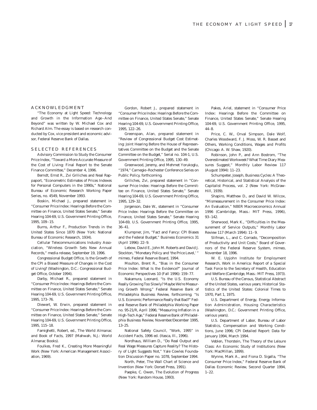#### ACKNOWLEDGMENT

"The Economy at Light Speed: Technology and Growth in the Information Age–And Beyond" was written by W. Michael Cox and Richard Alm. The essay is based on research conducted by Cox, vice president and economic advisor, Federal Reserve Bank of Dallas.

#### SELECTED REFERENCES

Advisory Commission to Study the Consumer Price Index, "Toward a More Accurate Measure of the Cost of Living: Final Report to the Senate Finance Committee," December 4, 1996.

Berndt, Ernst R., Zvi Griliches and Neal Rappaport, "Econometric Estimates of Prices Indexes for Personal Computers in the 1990s," National Bureau of Economic Research Working Paper Series, no. 4549, November 1993.

Boskin, Michael J., prepared statement in "Consumer Price Index: Hearings Before the Committee on Finance, United States Senate," Senate Hearing 104-69, U.S. Government Printing Office, 1995, 109–15.

Burns, Arthur F., *Production Trends in the United States Since 1870* (New York: National Bureau of Economic Research, 1934).

Cellular Telecommunications Industry Association, "Wireless Growth Sets New Annual Records," media release, September 19, 1996.

Congressional Budget Office, *Is the Growth of the CPI a Biased Measure of Changes in the Cost of Living?* (Washington, D.C.: Congressional Budget Office, October 1994).

Darby, Michael R., prepared statement in "Consumer Price Index: Hearings Before the Committee on Finance, United States Senate," Senate Hearing 104-69, U.S. Government Printing Office, 1995, 173–76.

Diewert, W. Erwin, prepared statement in "Consumer Price Index: Hearings Before the Committee on Finance, United States Senate," Senate Hearing 104-69, U.S. Government Printing Office, 1995, 115–18.

Famighetti, Robert, ed., *The World Almanac and Book of Facts,* 1997 (Mahwah, N.J.: World Almanac Books).

Foulkes, Fred K., *Creating More Meaningful Work* (New York: American Management Association, 1969).

Gordon, Robert J., prepared statement in "Consumer Price Index: Hearings Before the Committee on Finance, United States Senate," Senate Hearing 104-69, U.S. Government Printing Office, 1995, 122–26.

Greenspan, Alan, prepared statement in "Review of Congressional Budget Cost Estimating: Joint Hearing Before the House of Representatives Committee on the Budget and the Senate Committee on the Budget," Serial no. 104-1, U.S. Government Printing Office, 1995, 130–49.

Greenwood, Jeremy, and Mehmet Yorukoglu, "1974," *Carnegie–Rochester Conference Series on Public Policy,* forthcoming.

Griliches, Zvi, prepared statement in "Consumer Price Index: Hearings Before the Committee on Finance, United States Senate," Senate Hearing 104-69, U.S. Government Printing Office, 1995, 129–32.

Jorgenson, Dale W., statement in "Consumer Price Index: Hearings Before the Committee on Finance, United States Senate," Senate Hearing 104-69, U.S. Government Printing Office, 1995, 36–41.

Klumpner, Jim, "Fact and Fancy: CPI Biases and the Federal Budget," *Business Economics* 31 (April 1996): 22–9.

Lebow, David E., John M. Roberts and David J. Stockton, "Monetary Policy and 'the Price Level,' " mimeo, Federal Reserve Board, 1994.

Moulton, Brent R., "Bias in the Consumer Price Index: What Is the Evidence?" *Journal of Economic Perspectives* 10 (Fall 1996): 159–77.

Nakamura, Leonard, "Is the U.S. Economy Really Growing Too Slowly? Maybe We're Measuring Growth Wrong," Federal Reserve Bank of Philadelphia *Business Review,* forthcoming; "Is U.S. Economic Performance Really that Bad?" Federal Reserve Bank of Philadelphia Working Paper no. 95-21/R, April 1996; "Measuring Inflation in a High-Tech Age," Federal Reserve Bank of Philadelphia *Business Review,* November/December 1995, 13–25.

National Safety Council, "Work, 1995" in *Accident Facts,* 1996 ed. (Itasca, Ill., 1996).

Nordhaus, William D., "Do Real Output and Real Wage Measures Capture Reality? The History of Light Suggests Not," Yale Cowles Foundation Discussion Paper no. 1078, September 1994.

North, Peter, *The Wall Chart of Science and Inventio*n (New York: Dorset Press, 1991).

Paepke, C. Owen, *The Evolution of Progress* (New York: Random House, 1993).

Pakes, Ariel, statement in "Consumer Price Index: Hearings Before the Committee on Finance, United States Senate," Senate Hearing 104-69, U.S. Government Printing Office, 1995, 44–8.

Price, C. W., Orval Simpson, Dale Wolf, Charles Woodward, F. J. Moss, W. R. Basset and Others, *Working Conditions, Wages and Profits* (Chicago: A. W. Shaw, 1920).

Robinson, John P., and Ann Bostrom, "The Overestimated Workweek? What Time Diary Measures Suggest," *Monthly Labor Review* 117 (August 1994): 11–23.

Schumpeter, Joseph, *Business Cycles: A Theoretical, Historical, and Statistical Analysis of the Capitalist Process,* vol. 2 (New York: McGraw-Hill, 1939).

Shapiro, Matthew D., and David W. Wilcox, "Mismeasurement in the Consumer Price Index: An Evaluation," *NBER Macroeconomics Annual 1996* (Cambridge, Mass.: MIT Press, 1996), 93–142.

Sherwood, Mark K., "Difficulties in the Measurement of Service Outputs," *Monthly Labor Review* 117 (March 1994): 11–9.

Slifman, L., and C. Corrado, "Decomposition of Productivity and Unit Costs," Board of Governors of the Federal Reserve System, mimeo, November 18, 1996.

W. E. Upjohn Institute for Employment Research, *Work in America: Report of a Special Task Force to the Secretary of Health, Education and Welfare* (Cambridge, Mass.: MIT Press, 1973).

U.S. Bureau of the Census, *Statistical Abstract of the United States,* various years; *Historical Statistics of the United States: Colonial Times to 1970,* Part 1, 1975.

U.S. Department of Energy, Energy Information Administration, *Housing Characteristics* (Washington, D.C.: Government Printing Office, various years).

U.S. Department of Labor, Bureau of Labor Statistics, *Compensation and Working Conditions,* June 1996; *CPI Detailed Report: Data for January 1994,* March 1994.

Veblen, Thorstein, *The Theory of the Leisure Class: An Economic Study of Institutions* (New York: MacMillan, 1899).

Wynne, Mark A., and Fiona D. Sigalla, "The Consumer Price Index," Federal Reserve Bank of Dallas *Economic Review,* Second Quarter 1994, 1–22.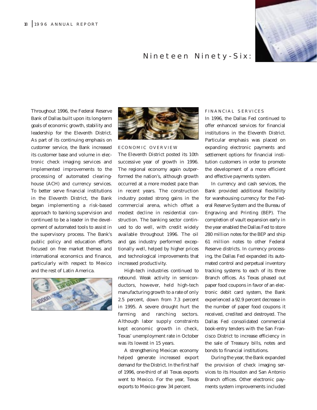

## Nineteen Ninety-Six:

Throughout 1996, the Federal Reserve Bank of Dallas built upon its long-term goals of economic growth, stability and leadership for the Eleventh District. As part of its continuing emphasis on customer service, the Bank increased its customer base and volume in electronic check imaging services and implemented improvements to the processing of automated clearinghouse (ACH) and currency services. To better serve financial institutions in the Eleventh District, the Bank began implementing a risk-based approach to banking supervision and continued to be a leader in the development of automated tools to assist in the supervisory process. The Bank's public policy and education efforts focused on free market themes and international economics and finance, particularly with respect to Mexico and the rest of Latin America.





#### ECONOMIC OVER VIEW

The Eleventh District posted its 10th successive year of growth in 1996. The regional economy again outperformed the nation's, although growth occurred at a more modest pace than in recent years. The construction industry posted strong gains in the commercial arena, which offset a modest decline in residential construction. The banking sector continued to do well, with credit widely available throughout 1996. The oil and gas industry performed exceptionally well, helped by higher prices and technological improvements that increased productivity.

High-tech industries continued to rebound. Weak activity in semiconductors, however, held high-tech manufacturing growth to a rate of only 2.5 percent, down from 7.3 percent in 1995. A severe drought hurt the farming and ranching sectors. Although labor supply constraints kept economic growth in check, Texas' unemployment rate in October was its lowest in 15 years.

A strengthening Mexican economy helped generate increased export demand for the District. In the first half of 1996, one-third of all Texas exports went to Mexico. For the year, Texas exports to Mexico grew 34 percent.

#### FINANCIAL SER VICES

In 1996, the Dallas Fed continued to offer enhanced services for financial institutions in the Eleventh District. Particular emphasis was placed on expanding electronic payments and settlement options for financial institution customers in order to promote the development of a more efficient and effective payments system.

In currency and cash services, the Bank provided additional flexibility for warehousing currency for the Federal Reserve System and the Bureau of Engraving and Printing (BEP). The completion of vault expansion early in the year enabled the Dallas Fed to store 280 million notes for the BEP and ship 61 million notes to other Federal Reserve districts. In currency processing, the Dallas Fed expanded its automated control and perpetual inventory tracking systems to each of its three Branch offices. As Texas phased out paper food coupons in favor of an electronic debit card system, the Bank experienced a 92.9 percent decrease in the number of paper food coupons it received, credited and destroyed. The Dallas Fed consolidated commercial book-entry tenders with the San Francisco District to increase efficiency in the sale of Treasury bills, notes and bonds to financial institutions.

During the year, the Bank expanded the provision of check imaging services to its Houston and San Antonio Branch offices. Other electronic payments system improvements included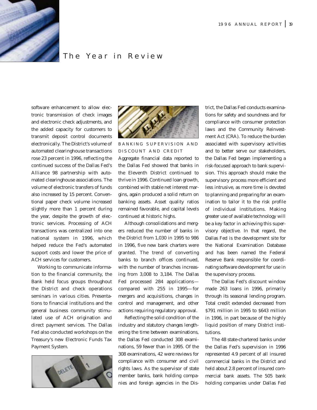## The Year in Review

software enhancement to allow electronic transmission of check images and electronic check adjustments, and the added capacity for customers to transmit deposit control documents electronically. The District's volume of automated clearinghouse transactions rose 23 percent in 1996, reflecting the continued success of the Dallas Fed's Alliance 98 partnership with automated clearinghouse associations. The volume of electronic transfers of funds also increased by 15 percent. Conventional paper check volume increased slightly more than 1 percent during the year, despite the growth of electronic services. Processing of ACH transactions was centralized into one national system in 1996, which helped reduce the Fed's automated support costs and lower the price of ACH services for customers.

Working to communicate information to the financial community, the Bank held focus groups throughout the District and check operations seminars in various cities. Presentations to financial institutions and the general business community stimulated use of ACH origination and direct payment services. The Dallas Fed also conducted workshops on the Treasury's new Electronic Funds Tax Payment System.





BANKING SUPER VISION AND DISCOUNT AND CREDIT Aggregate financial data reported to the Dallas Fed showed that banks in the Eleventh District continued to thrive in 1996. Continued loan growth, combined with stable net interest margins, again produced a solid return on banking assets. Asset quality ratios remained favorable, and capital levels continued at historic highs.

Although consolidations and mergers reduced the number of banks in the District from 1,030 in 1995 to 986 in 1996, five new bank charters were granted. The trend of converting banks to branch offices continued, with the number of branches increasing from 3,008 to 3,184. The Dallas Fed processed 284 applications compared with 255 in 1995—for mergers and acquisitions, changes in control and management, and other actions requiring regulatory approval.

Reflecting the solid condition of the industry and statutory changes lengthening the time between examinations, the Dallas Fed conducted 308 examinations, 59 fewer than in 1995. Of the 308 examinations, 42 were reviews for compliance with consumer and civil rights laws. As the supervisor of state member banks, bank holding companies and foreign agencies in the District, the Dallas Fed conducts examinations for safety and soundness and for compliance with consumer protection laws and the Community Reinvestment Act (CRA). To reduce the burden associated with supervisory activities and to better serve our stakeholders, the Dallas Fed began implementing a risk-focused approach to bank supervision. This approach should make the supervisory process more efficient and less intrusive, as more time is devoted to planning and preparing for an examination to tailor it to the risk profile of individual institutions. Making greater use of available technology will be a key factor in achieving this supervisory objective. In that regard, the Dallas Fed is the development site for the National Examination Database and has been named the Federal Reserve Bank responsible for coordinating software development for use in the supervisory process.

The Dallas Fed's discount window made 263 loans in 1996, primarily through its seasonal lending program. Total credit extended decreased from \$791 million in 1995 to \$643 million in 1996, in part because of the highly liquid position of many District institutions.

The 48 state-chartered banks under the Dallas Fed's supervision in 1996 represented 4.9 percent of all insured commercial banks in the District and held about 2.8 percent of insured commercial bank assets. The 505 bank holding companies under Dallas Fed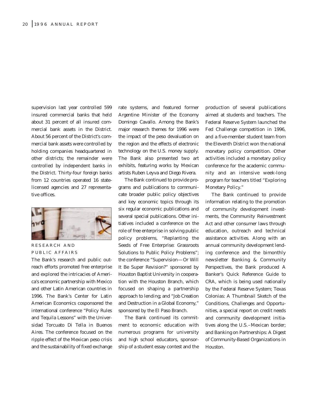supervision last year controlled 599 insured commercial banks that held about 31 percent of all insured commercial bank assets in the District. About 56 percent of the District's commercial bank assets were controlled by holding companies headquartered in other districts; the remainder were controlled by independent banks in the District. Thirty-four foreign banks from 12 countries operated 16 statelicensed agencies and 27 representative offices.



RESEARCH AND PUBLIC AFFAIRS

The Bank's research and public outreach efforts promoted free enterprise and explored the intricacies of America's economic partnership with Mexico and other Latin American countries in 1996. The Bank's Center for Latin American Economics cosponsored the international conference "Policy Rules and Tequila Lessons" with the Universidad Torcuato Di Tella in Buenos Aires. The conference focused on the ripple effect of the Mexican peso crisis and the sustainability of fixed exchange

rate systems, and featured former Argentine Minister of the Economy Domingo Cavallo. Among the Bank's major research themes for 1996 were the impact of the peso devaluation on the region and the effects of electronic technology on the U.S. money supply. The Bank also presented two art exhibits, featuring works by Mexican artists Ruben Leyva and Diego Rivera.

The Bank continued to provide programs and publications to communicate broader public policy objectives and key economic topics through its six regular economic publications and several special publications. Other initiatives included a conference on the role of free enterprise in solving public policy problems, "Replanting the Seeds of Free Enterprise: Grassroots Solutions to Public Policy Problems"; the conference "Supervision—Or Will It Be Super Revision?" sponsored by Houston Baptist University in cooperation with the Houston Branch, which focused on shaping a partnership approach to lending; and "Job Creation and Destruction in a Global Economy," sponsored by the El Paso Branch.

The Bank continued its commitment to economic education with numerous programs for university and high school educators, sponsorship of a student essay contest and the

production of several publications aimed at students and teachers. The Federal Reserve System launched the Fed Challenge competition in 1996, and a five-member student team from the Eleventh District won the national monetary policy competition. Other activities included a monetary policy conference for the academic community and an intensive week-long program for teachers titled "Exploring Monetary Policy."

The Bank continued to provide information relating to the promotion of community development investments, the Community Reinvestment Act and other consumer laws through education, outreach and technical assistance activities. Along with an annual community development lending conference and the bimonthly newsletter *Banking & Community Perspectives*, the Bank produced *A Banker's Quick Reference Guide to CRA*, which is being used nationally by the Federal Reserve System; *Texas Colonias: A Thumbnail Sketch of the Conditions, Challenges and Opportunities*, a special report on credit needs and community development initiatives along the U.S.–Mexican border; and *Banking on Partnerships: A Digest of Community-Based Organizations in Houston*.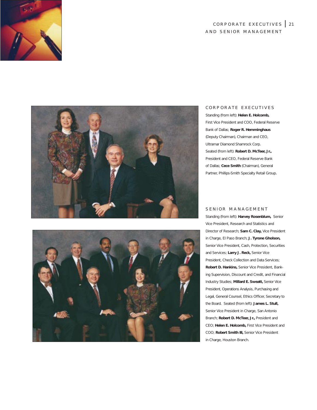

## CORPORA TE EXECUTIVES | <sup>21</sup> AND SENIOR MANAGEMENT



#### CORPORATE EXECUTIVES

Standing (from left): **Helen E. Holcomb,**  First Vice President and COO, Federal Reserve Bank of Dallas; **Roger R. Hemminghaus** (Deputy Chairman), Chairman and CEO, Ultramar Diamond Shamrock Corp. Seated (from left): **Robert D. McTeer, Jr.,** President and CEO, Federal Reserve Bank of Dallas; **Cece Smith** (Chairman), General Partner, Phillips-Smith Specialty Retail Group.



#### SENIOR MANAGEMENT

Standing (from left): **Harvey Rosenblum,** Senior Vice President, Research and Statistics and Director of Research; **Sam C. Clay,** Vice President in Charge, El Paso Branch; **J. Tyrone Gholson,** Senior Vice President, Cash, Protection, Securities and Services; **Larry J. Reck,** Senior Vice President, Check Collection and Data Services; **Robert D. Hankins,** Senior Vice President, Banking Supervision, Discount and Credit, and Financial Industry Studies; **Millard E. Sweatt,** Senior Vice President, Operations Analysis, Purchasing and Legal, General Counsel, Ethics Officer, Secretary to the Board. Seated (from left): **James L. Stull,** Senior Vice President in Charge, San Antonio Branch; **Robert D. McTeer, Jr.,** President and CEO; **Helen E. Holcomb,** First Vice President and COO; **Robert Smith III,** Senior Vice President in Charge, Houston Branch.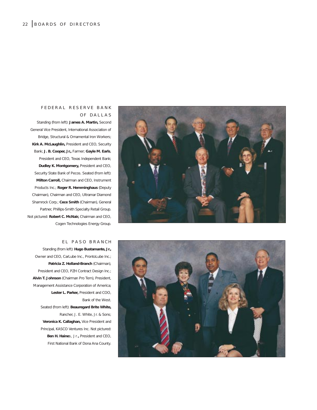#### FEDERAL RESERVE BANK OF DALLAS

Standing (from left): **James A. Martin,** Second General Vice President, International Association of Bridge, Structural & Ornamental Iron Workers; **Kirk A. McLaughlin,** President and CEO, Security Bank; **J. B. Cooper, Jr.,** Farmer; **Gayle M. Earls**, President and CEO, Texas Independent Bank; **Dudley K. Montgomery,** President and CEO, Security State Bank of Pecos. Seated (from left): **Milton Carroll,** Chairman and CEO, Instrument Products Inc.; **Roger R. Hemminghaus** (Deputy Chairman), Chairman and CEO, Ultramar Diamond Shamrock Corp.; **Cece Smith** (Chairman), General Partner, Phillips-Smith Specialty Retail Group. Not pictured: **Robert C. McNair,** Chairman and CEO, Cogen Technologies Energy Group.

EL PASO BRANCH Standing (from left): **Hugo Bustamante, Jr.,** Owner and CEO, CarLube Inc., ProntoLube Inc.; **Patricia Z. Holland-Branch** (Chairman), President and CEO, PZH Contract Design Inc.; **Alvin T. Johnson** (Chairman Pro Tem), President, Management Assistance Corporation of America; **Lester L. Parker,** President and COO, Bank of the West. Seated (from left): **Beauregard Brite White,** Rancher, J. E. White, Jr. & Sons; **Veronica K. Callaghan,** Vice President and Principal, KASCO Ventures Inc. Not pictured: **Ben H. Haine**s, Jr.**,** President and CEO, First National Bank of Dona Ana County.



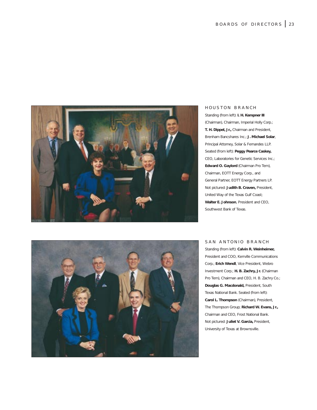

#### HOUSTON BRANCH

Standing (from left): **I. H. Kempner III** (Chairman), Chairman, Imperial Holly Corp.; **T. H. Dippel, Jr.,** Chairman and President, Brenham Bancshares Inc.; **J. Michael Solar**, Principal Attorney, Solar & Fernandes LLP. Seated (from left): **Peggy Pearce Caskey,** CEO, Laboratories for Genetic Services Inc.; **Edward O. Gaylord** (Chairman Pro Tem), Chairman, EOTT Energy Corp., and General Partner, EOTT Energy Partners LP. Not pictured: **Judith B. Craven,** President, United Way of the Texas Gulf Coast; **Walter E. Johnson**, President and CEO, Southwest Bank of Texas.



SAN ANTONIO BRANCH Standing (from left): **Calvin R. Weinheimer,** President and COO, Kerrville Communications Corp.; **Erich Wendl**, Vice President, Webro Investment Corp.; **H. B. Zachry, Jr.** (Chairman Pro Tem), Chairman and CEO, H. B. Zachry Co.; **Douglas G. Macdonald,** President, South Texas National Bank. Seated (from left): **Carol L. Thompson** (Chairman), President, The Thompson Group; **Richard W. Evans, Jr.,** Chairman and CEO, Frost National Bank. Not pictured: **Juliet V. Garcia,** President, University of Texas at Brownsville.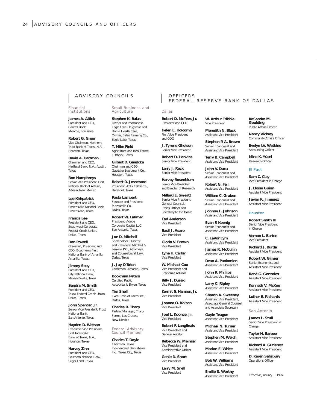#### ADVISORY COUNCILS | OFFICERS

#### Financial Institutions

**James A. Altick** President and CEO, Central Bank, Monroe, Louisiana

**Robert G. Greer** Vice Chairman, Northern Trust Bank of Texas, N.A., Houston, Texas

**David A. Hartman** Chairman and CEO, Hartland Bank, N.A., Austin, Texas

**Ron Humphreys** Senior Vice President, First National Bank of Artesia, Artesia, New Mexico

**Lee Kirkpatrick** President and CEO, Brownsville National Bank, Brownsville, Texas

**Francis Lee** President and CEO, Southwest Corporate Federal Credit Union, Dallas, Texas

**Don Powell** Chairman, President and CEO, Boatmen's First National Bank of Amarillo, Amarillo, Texas

**Jimmy Seay** President and CEO, City National Bank, Mineral Wells, Texas

**Sandra M. Smith** President and CEO, Texas Federal Credit Union, Dallas, Texas

**John Spencer, Jr.** Senior Vice President, Frost National Bank, San Antonio, Texas

**Hayden D. Watson** Executive Vice President, First Interstate Bank of Texas, N.A. Houston, Texas

**Harvey Zinn** President and CEO. Southern National Bank, Sugar Land, Texas

#### Small Business and Agriculture

Dallas

**Robert D. McTeer, Jr.** President and CEO **Helen E. Holcomb** First Vice President and COO

**J. Tyrone Gholson** Senior Vice President **Robert D. Hankins** Senior Vice President **Larry J. Reck** Senior Vice President **Harvey Rosenblum** Senior Vice President and Director of Research **Millard E. Sweatt** Senior Vice President, General Counsel, Ethics Officer and Secretary to the Board **Earl Anderson** Vice President **Basil J. Asaro** Vice President **Gloria V. Brown** Vice President **Lyne H. Carter** Vice President **W. Michael Cox** Vice President and Economic Advisor **Billy J. Dusek** Vice President

**Stephen K. Balas** Owner and Pharmacist, Eagle Lake Drugstore and Home Health Care, Owner, Balas Farming Co., Eagle Lake, Texas

**T. Mike Field** Agriculture and Real Estate, Lubbock, Texas

**Gilbert D. Gaedcke** Chairman and CEO, Gaedcke Equipment Co., Houston, Texas

**Robert D. Josserand** President, AzTx Cattle Co., Hereford, Texas

**Paula Lambert** Founder and President, Mozzarella Co., Dallas, Toyas

**Robert W. Latimer** President, Adobe Corporate Capital LLC, San Antonio, Texas

**Joe D. Mitchell** Shareholder, Director and President, Mitchell & Jenkins P.C., Attorneys and Counselors at Law, Dallas, Texas

**J. Jay O'Brien** Cattleman, Amarillo, Texas

**Bookman Peters** Certified Public Accountant, Bryan, Texas

**Tim Shell** ExecuTrain of Texas Inc., Dallas, Texas

**Charles R. Tharp** Partner/Manager, Tharp Farms, Las Cruces, New Mexico

Federal Advisory Council Member

**Charles T. Doyle** Chairman, Texas Independent Bancshares Inc., Texas City, Texas

**Genie D. Short** Vice President

**Kermit S. Harmon, Jr.** Vice President **Joanna O. Kolson** Vice President **Joel L. Koonce, Jr.** Vice President **Robert F. Langlinais** Vice President and General Auditor **Rebecca W. Meinzer** Vice President and Administrative Officer

**Larry M. Snell** Vice President

**W. Arthur Tribble** Vice President

FEDERAL RESERVE BANK OF DALLAS

**Meredith N. Black**

Assistant Vice President **Stephen P. A. Brown** Senior Economist and Assistant Vice President

**Terry B. Campbell** Assistant Vice President

**John V. Duca** Senior Economist and Assistant Vice President

**Robert G. Feil** Assistant Vice President

**William C. Gruben** Senior Economist and Assistant Vice President

**Johnny L. Johnson** Assistant Vice President

**Evan F. Koenig** Senior Economist and Assistant Vice President

**C. LaVor Lym** Assistant Vice President

**James R. McCullin** Assistant Vice President

**Dean A. Pankonien** Assistant Vice President

**John R. Phillips** Assistant Vice President

**Larry C. Ripley** Assistant Vice President

**Sharon A. Sweeney** Assistant Vice President, Associate General Counsel and Associate Secretary

**Gayle Teague** Assistant Vice President

**Michael N. Turner** Assistant Vice President

**Stephen M. Welch**

Assistant Vice President **Marion E. White**

Assistant Vice President

**Bob W. Williams** Assistant Vice President

**Emilie S. Worthy** Assistant Vice President **KaSandra M. Goulding** Public Affairs Officer

**Nancy Vickrey** Community Affairs Officer

**Evelyn LV. Watkins** Accounting Officer

**Mine K. Yücel** Research Officer

El Paso

**Sam C. Clay** Vice President in Charge

**J. Eloise Guinn** Assistant Vice President

**Javier R. Jimenez** Assistant Vice President

#### Houston

**Robert Smith III** Senior Vice President in Charge

**Vernon L. Bartee** Vice President

**Richard J. Burda** Assistant Vice President

**Robert W. Gilmer** Senior Economist and Assistant Vice President

**René G. Gonzales** Assistant Vice President

**Kenneth V. McKee** Assistant Vice President

**Luther E. Richards** Assistant Vice President

San Antonio

**James L. Stull** Senior Vice President in Charge

**Taylor H. Barbee** Assistant Vice President

**Richard A. Gutierrez** Assistant Vice President

**D. Karen Salisbury** Operations Officer

Effective January 1, 1997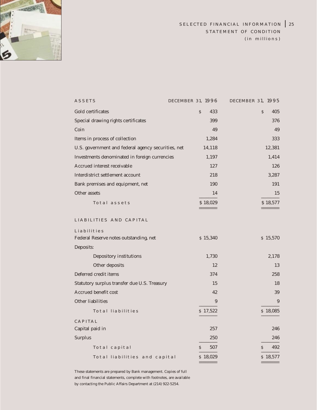

## SELECTED FINANCIAL INFORMATION | 25 STATEMENT OF CONDITION (in millions)

| <b>ASSETS</b>                                      | DECEMBER 31, 1996 | DECEMBER 31, 1995    |
|----------------------------------------------------|-------------------|----------------------|
| Gold certificates                                  | \$<br>433         | $\mathsf{\$}$<br>405 |
| Special drawing rights certificates                | 399               | 376                  |
| Coin                                               | 49                | 49                   |
| Items in process of collection                     | 1,284             | 333                  |
| U.S. government and federal agency securities, net | 14,118            | 12,381               |
| Investments denominated in foreign currencies      | 1,197             | 1,414                |
| Accrued interest receivable                        | 127               | 126                  |
| Interdistrict settlement account                   | 218               | 3,287                |
| Bank premises and equipment, net                   | 190               | 191                  |
| Other assets                                       | 14                | 15                   |
| Total assets                                       | \$18,029          | \$18,577             |
| LIABILITIES AND CAPITAL                            |                   |                      |
| Liabilities                                        |                   |                      |
| Federal Reserve notes outstanding, net             | \$15,340          | \$15,570             |
| Deposits:                                          |                   |                      |
| Depository institutions                            | 1,730             | 2,178                |
| Other deposits                                     | 12                | 13                   |
| Deferred credit items                              | 374               | 258                  |
| Statutory surplus transfer due U.S. Treasury       | 15                | 18                   |
| Accrued benefit cost                               | 42                | 39                   |
| Other liabilities                                  | 9                 | 9                    |
| Total liabilities                                  | \$17,522          | \$18,085             |
| CAPITAL                                            |                   |                      |
| Capital paid in                                    | 257               | 246                  |
| <b>Surplus</b>                                     | 250               | 246                  |
| Total capital                                      | 507<br>\$         | 492<br>\$            |
| Total liabilities and capital                      | \$18,029          | \$18,577             |

These statements are prepared by Bank management. Copies of full and final financial statements, complete with footnotes, are available by contacting the Public Affairs Department at (214) 922-5254.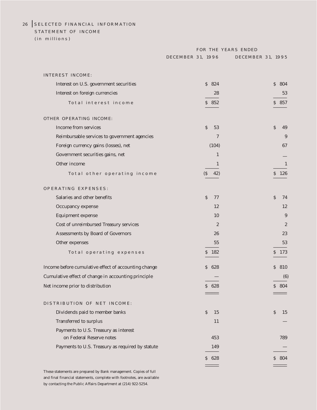## 26 SELECTED FINANCIAL INFORMATION STATEMENT OF INCOME

(in millions)

|                                                                   | FOR THE YEARS ENDED             |                                 |  |
|-------------------------------------------------------------------|---------------------------------|---------------------------------|--|
|                                                                   | DECEMBER 31, 1996               | DECEMBER 31, 1995               |  |
| INTEREST INCOME:                                                  |                                 |                                 |  |
| Interest on U.S. government securities                            | \$824                           | S 804                           |  |
| Interest on foreign currencies                                    | 28                              | 53                              |  |
| Total interest income                                             | \$852                           | \$857                           |  |
| OTHER OPERATING INCOME:                                           |                                 |                                 |  |
| Income from services                                              | $\mathcal{S}$<br>53             | $\mathcal{S}$<br>49             |  |
| Reimbursable services to government agencies                      | 7                               | 9                               |  |
| Foreign currency gains (losses), net                              | (104)                           | 67                              |  |
| Government securities gains, net                                  | $\mathbf{1}$                    |                                 |  |
| Other income                                                      | 1                               | $\mathbf{1}$                    |  |
| Total other operating income                                      | 42)<br>(S                       | \$126                           |  |
| OPERATING EXPENSES:                                               |                                 |                                 |  |
| Salaries and other benefits                                       | $\mathcal{S}$<br>77             | <sub>S</sub><br>74              |  |
| Occupancy expense                                                 | 12                              | 12                              |  |
| Equipment expense                                                 | 10                              | $\boldsymbol{9}$                |  |
| Cost of unreimbursed Treasury services                            | $\mathbf{2}$                    | $\boldsymbol{2}$                |  |
| Assessments by Board of Governors                                 | 26                              | 23                              |  |
| Other expenses                                                    | 55                              | 53                              |  |
| Total operating expenses                                          | \$182                           | \$173                           |  |
| Income before cumulative effect of accounting change              | \$628                           | S.<br>810                       |  |
| Cumulative effect of change in accounting principle               |                                 | (6)                             |  |
| Net income prior to distribution                                  | \$628                           | 804<br>S                        |  |
|                                                                   |                                 |                                 |  |
| DISTRIBUTION OF NET INCOME:                                       |                                 |                                 |  |
| Dividends paid to member banks                                    | $\boldsymbol{\mathsf{S}}$<br>15 | $\boldsymbol{\mathsf{S}}$<br>15 |  |
| Transferred to surplus                                            | 11                              |                                 |  |
| Payments to U.S. Treasury as interest<br>on Federal Reserve notes | 453                             | 789                             |  |
| Payments to U.S. Treasury as required by statute                  | 149                             |                                 |  |
|                                                                   | \$628                           | \$804                           |  |
|                                                                   |                                 |                                 |  |

These statements are prepared by Bank management. Copies of full and final financial statements, complete with footnotes, are available by contacting the Public Affairs Department at (214) 922-5254.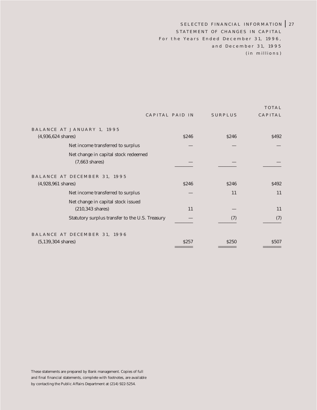SELECTED FINANCIAL INFORMATION | 27 STATEMENT OF CHANGES IN CAPITAL For the Years Ended December 31, 1996, and December 31, 1995 (in millions)

TOT A L

|                                                 |              |              | $I \cup I A L$   |
|-------------------------------------------------|--------------|--------------|------------------|
| CAPITAL PAID IN                                 |              | SURPLUS      | CAPITAL          |
| BALANCE AT JANUARY 1, 1995                      |              |              |                  |
| $(4,936,624 \text{ shares})$                    | <b>\$246</b> | <b>\$246</b> | S <sub>492</sub> |
| Net income transferred to surplus               |              |              |                  |
| Net change in capital stock redeemed            |              |              |                  |
| $(7,663 \text{ shares})$                        |              |              |                  |
| BALANCE AT DECEMBER 31, 1995                    |              |              |                  |
| $(4,928,961 \text{ shares})$                    | <b>\$246</b> | <b>\$246</b> | <b>S492</b>      |
| Net income transferred to surplus               |              | 11           | 11               |
| Net change in capital stock issued              |              |              |                  |
| $(210,343 \text{ shares})$                      | 11           |              | 11               |
| Statutory surplus transfer to the U.S. Treasury |              | (7)          | (7)              |
| BALANCE AT DECEMBER 31, 1996                    |              |              |                  |
| $(5, 139, 304$ shares)                          | S257         | \$250        | \$507            |

These statements are prepared by Bank management. Copies of full and final financial statements, complete with footnotes, are available by contacting the Public Affairs Department at (214) 922-5254.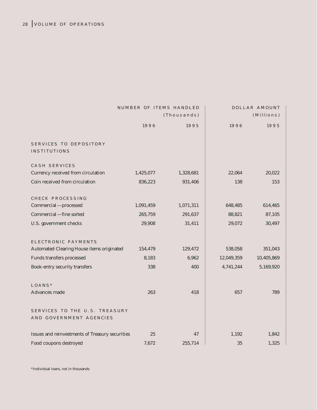## 28 VOLUME OF OPERATIONS

| NUMBER OF ITEMS HANDLED                         |             |           | DOLLAR AMOUNT |            |
|-------------------------------------------------|-------------|-----------|---------------|------------|
|                                                 | (Thousands) |           | (Millions)    |            |
|                                                 | 1996        | 1995      | 1996          | 1995       |
| SERVICES TO DEPOSITORY                          |             |           |               |            |
| INSTITUTIONS                                    |             |           |               |            |
| CASH SERVICES                                   |             |           |               |            |
| Currency received from circulation              | 1,425,077   | 1,328,681 | 22,064        | 20,022     |
| Coin received from circulation                  | 836,223     | 931,406   | 138           | 153        |
| CHECK PROCESSING                                |             |           |               |            |
| Commercial-processed                            | 1,091,459   | 1,071,311 | 648,485       | 614,465    |
| Commercial-fine sorted                          | 265,759     | 291,637   | 88,821        | 87,105     |
| U.S. government checks                          | 29,908      | 31,411    | 29,072        | 30,497     |
| ELECTRONIC PAYMENTS                             |             |           |               |            |
| Automated Clearing House items originated       | 154,479     | 129,472   | 538,058       | 351,043    |
| Funds transfers processed                       | 8,183       | 6,962     | 12,049,359    | 10,405,869 |
| Book-entry security transfers                   | 338         | 400       | 4,741,244     | 5,169,920  |
| LOANS*                                          |             |           |               |            |
| Advances made                                   | 263         | 418       | 657           | 789        |
| SERVICES TO THE U.S. TREASURY                   |             |           |               |            |
| AND GOVERNMENT AGENCIES                         |             |           |               |            |
| Issues and reinvestments of Treasury securities | 25          | 47        | 1,192         | 1,842      |
| Food coupons destroyed                          | 7,672       | 255,714   | 35            | 1,325      |

\*Individual loans, not in thousands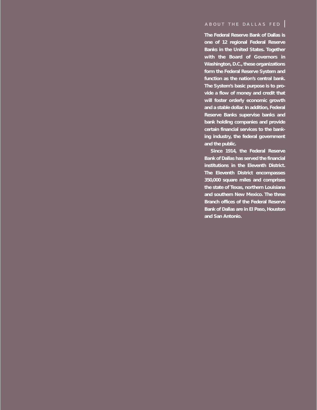### ABOUT THE DALLAS FED |

**The Federal Reserve Bank of Dallas is one of 12 regional Federal Reserve Banks in the United States. Together with the Board of Governors in Washington, D.C., these organizations form the Federal Reserve System and function as the nation's central bank. The System's basic purpose is to provide a flow of money and credit that will foster orderly economic growth and a stable dollar. In addition, Federal Reserve Banks supervise banks and bank holding companies and provide certain financial services to the banking industry, the federal government and the public.**

**Since 1914, the Federal Reserve Bank of Dallas has served the financial institutions in the Eleventh District. The Eleventh District encompasses 350,000 square miles and comprises the state of Texas, northern Louisiana and southern New Mexico. The three Branch offices of the Federal Reserve Bank of Dallas are in El Paso, Houston and San Antonio.**